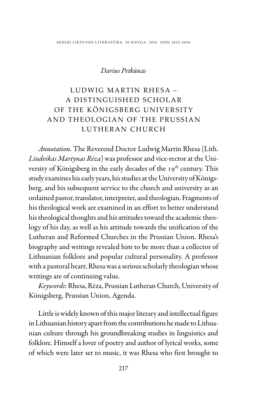### *Darius Petkūnas*

# LUDWIG MARTIN RHESA -A DISTINGUISHED SCHOLAR OF THE KÖNIGSBERG UNIVERSITY AND THEOLOGIAN OF THE PRUSSIAN LUTHERAN CHURCH

*Annotation*. The Reverend Doctor Ludwig Martin Rhesa (Lith. *Liudvikas Martynas Rėza*) was professor and vice-rector at the University of Königsberg in the early decades of the 19<sup>th</sup> century. This study examines his early years, his studies at the University of Königsberg, and his subsequent service to the church and university as an ordained pastor, translator, interpreter, and theologian. Fragments of his theological work are examined in an effort to better understand his theological thoughts and his attitudes toward the academic theology of his day, as well as his attitude towards the unification of the Lutheran and Reformed Churches in the Prussian Union. Rhesa's biography and writings revealed him to be more than a collector of Lithuanian folklore and popular cultural personality. A professor with a pastoral heart, Rhesa was a serious scholarly theologian whose writings are of continuing value.

*Keywords*: Rhesa, Rėza, Prussian Lutheran Church, University of Königsberg, Prussian Union, Agenda.

Little is widely known of this major literary and intellectual figure in Lithuanian history apart from the contributions he made to Lithuanian culture through his groundbreaking studies in linguistics and folklore. Himself a lover of poetry and author of lyrical works, some of which were later set to music, it was Rhesa who first brought to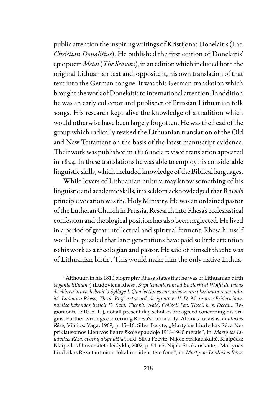public attention the inspiring writings of Kristijonas Donelaitis (Lat. *Christian Donalitius*). He published the first edition of Donelaitis' epic poem *Metai* (*The Seasons*), in an edition which included both the original Lithuanian text and, opposite it, his own translation of that text into the German tongue. It was this German translation which brought the work of Donelaitis to international attention. In addition he was an early collector and publisher of Prussian Lithuanian folk songs. His research kept alive the knowledge of a tradition which would otherwise have been largely forgotten. He was the head of the group which radically revised the Lithuanian translation of the Old and New Testament on the basis of the latest manuscript evidence. Their work was published in 1816 and a revised translation appeared in 1824. In these translations he was able to employ his considerable linguistic skills, which included knowledge of the Biblical languages.

While lovers of Lithuanian culture may know something of his linguistic and academic skills, it is seldom acknowledged that Rhesa's principle vocation was the Holy Ministry. He was an ordained pastor of the Lutheran Church in Prussia. Research into Rhesa's ecclesiastical confession and theological position has also been neglected. He lived in a period of great intellectual and spiritual ferment. Rhesa himself would be puzzled that later generations have paid so little attention to his work as a theologian and pastor. He said of himself that he was of Lithuanian birth'. This would make him the only native Lithua-

<sup>1</sup> Although in his 1810 biography Rhesa states that he was of Lithuanian birth (*e gente lithuana*) (Ludovicus Rhesa, *Supplementorum ad Buxtorfii et Wolfii diatribas de abbreuiaturis hebraicis Sylloge I. Qua lectiones cursorias a viro plurimum reuerendo, M. Ludouico Rhesa, Theol. Prof. extra ord. designato et V. D. M. in arce Fridericiana, publice habendas indicit D. Sam. Theoph. Wald, Collegii Fac. Theol. h. s. Decan.*, Regiomonti, 1810, p. 11), not all present day scholars are agreed concerning his origins. Further writings concerning Rhesa's nationality: Albinas Jovaišas, *Liudvikas* Rėza, Vilnius: Vaga, 1969, p. 15–16; Silva Pocytė, "Martynas Liudvikas Rėza Nepriklausomos Lietuvos lietuviškoje spaudoje 1918-1940 metais", in: *Martynas Liudvikas Rėza: epochų atspindžiai*, sud. Silva Pocytė, Nijolė Strakauskaitė. Klaipėda: Klaipėdos Universiteto leidykla, 2007, p. 54–65; Nijolė Strakauskaitė, "Martynas Liudvikas Rėza tautinio ir lokalinio identiteto fone", in: *Martynas Liudvikas Rėza:*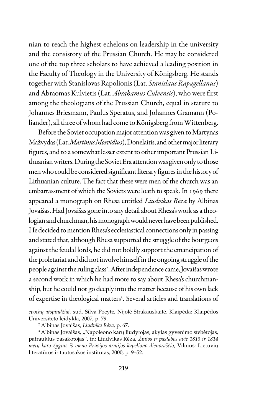nian to reach the highest echelons on leadership in the university and the consistory of the Prussian Church. He may be considered one of the top three scholars to have achieved a leading position in the Faculty of Theology in the University of Königsberg. He stands together with Stanislovas Rapolionis (Lat. *Stanislaus Rapagellanus*) and Abraomas Kulvietis (Lat. *Abrahamus Culvensis*), who were first among the theologians of the Prussian Church, equal in stature to Johannes Briesmann, Paulus Speratus, and Johannes Gramann (Poliander), all three of whom had come to Königsberg from Wittenberg.

Before the Soviet occupation major attention was given to Martynas Mažvydas (Lat. *Martinus Mosvidius*), Donelaitis, and other major literary figures, and to a somewhat lesser extent to other important Prussian Lithuanian writers. During the Soviet Era attention was given only to those men who could be considered significant literary figures in the history of Lithuanian culture. The fact that these were men of the church was an embarrassment of which the Soviets were loath to speak. In 1969 there appeared a monograph on Rhesa entitled *Liudvikas Rėza* by Albinas Jovaišas. Had Jovaišas gone into any detail about Rhesa's work as a theologian and churchman, his monograph would never have been published. He decided to mention Rhesa's ecclesiastical connections only in passing and stated that, although Rhesa supported the struggle of the bourgeois against the feudal lords, he did not boldly support the emancipation of the proletariat and did not involve himself in the ongoing struggle of the people against the ruling class<sup>2</sup>. After independence came, Jovaišas wrote a second work in which he had more to say about Rhesa's churchmanship, but he could not go deeply into the matter because of his own lack of expertise in theological matters<sup>3</sup>. Several articles and translations of

*epochų atspindžiai*, sud. Silva Pocytė, Nijolė Strakauskaitė. Klaipėda: Klaipėdos Universiteto leidykla, 2007, p. 79.

<sup>2</sup> Albinas Jovaišas, *Liudvika Rėza*, p. 67.

<sup>3</sup> Albinas Jovaišas, "Napoleono karų liudytojas, akylas gyvenimo stebėtojas, patrauklus pasakotojas", in: Liudvikas Rėza, *Žinios ir pastabos apie 1813 ir 1814 metų karo žygius iš vieno Prūsijos armijos kapeliono dienoraščio*, Vilnius: Lietuvių literatūros ir tautosakos institutas, 2000, p. 9–52.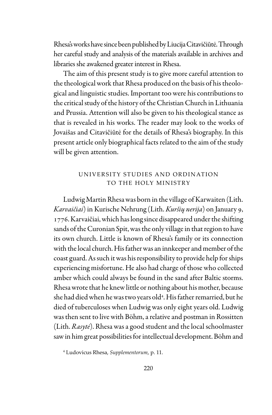Rhesa's works have since been published by Liucija Citavičiūtė. Through her careful study and analysis of the materials available in archives and libraries she awakened greater interest in Rhesa.

The aim of this present study is to give more careful attention to the theological work that Rhesa produced on the basis of his theological and linguistic studies. Important too were his contributions to the critical study of the history of the Christian Church in Lithuania and Prussia. Attention will also be given to his theological stance as that is revealed in his works. The reader may look to the works of Jovaišas and Citavičiūtė for the details of Rhesa's biography. In this present article only biographical facts related to the aim of the study will be given attention.

#### UNIVERSITY STUDIES AND ORDINATION TO THE HOLY MINISTRY

Ludwig Martin Rhesa was born in the village of Karwaiten (Lith. *Karvaičiai*) in Kurische Nehrung (Lith. *Kuršių nerija*) on January 9, 1776. Karvaičiai, which has long since disappeared under the shifting sands of the Curonian Spit, was the only village in that region to have its own church. Little is known of Rhesa's family or its connection with the local church. His father was an innkeeper and member of the coast guard. As such it was his responsibility to provide help for ships experiencing misfortune. He also had charge of those who collected amber which could always be found in the sand after Baltic storms. Rhesa wrote that he knew little or nothing about his mother, because she had died when he was two years old<sup>4</sup>. His father remarried, but he died of tuberculoses when Ludwig was only eight years old. Ludwig was then sent to live with Böhm, a relative and postman in Rossitten (Lith. *Rasytė*). Rhesa was a good student and the local schoolmaster saw in him great possibilities for intellectual development. Böhm and

<sup>4</sup> Ludovicus Rhesa, *Supplementorum*, p. 11.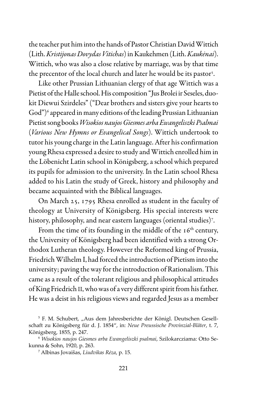the teacher put him into the hands of Pastor Christian David Wittich (Lith. *Kristijonas Dovydas Vitichas*) in Kaukehmen (Lith. *Kaukėnai*). Wittich, who was also a close relative by marriage, was by that time the precentor of the local church and later he would be its pastor<sup>s</sup>.

Like other Prussian Lithuanian clergy of that age Wittich was a Pietist of the Halle school. His composition "Jus Brolei ir Seseles, duokit Diewui Szirdeles" ("Dear brothers and sisters give your hearts to God")6 appeared in many editions of the leading Prussian Lithuanian Pietist song books *Wisokios naujos Giesmes arba Ewangeliszki Psalmai* (*Various New Hymns or Evangelical Songs*). Wittich undertook to tutor his young charge in the Latin language. After his confirmation young Rhesa expressed a desire to study and Wittich enrolled him in the Löbenicht Latin school in Königsberg, a school which prepared its pupils for admission to the university. In the Latin school Rhesa added to his Latin the study of Greek, history and philosophy and became acquainted with the Biblical languages.

On March 25, 1795 Rhesa enrolled as student in the faculty of theology at University of Königsberg. His special interests were history, philosophy, and near eastern languages (oriental studies)<sup>7</sup>.

From the time of its founding in the middle of the  $16<sup>th</sup>$  century, the University of Königsberg had been identified with a strong Orthodox Lutheran theology. However the Reformed king of Prussia, Friedrich Wilhelm I, had forced the introduction of Pietism into the university; paving the way for the introduction of Rationalism. This came as a result of the tolerant religious and philosophical attitudes of King Friedrich II, who was of a very different spirit from his father. He was a deist in his religious views and regarded Jesus as a member

<sup>&</sup>lt;sup>5</sup> F. M. Schubert, "Aus dem Jahresberichte der Königl. Deutschen Gesellschaft zu Königsberg für d. J. 1854", in: *Neue Preussische Provinzial-Bläter*, t. 7, Königsberg, 1855, p. 247.

<sup>6</sup> *Wisokios naujos Giesmes arba Ewangeliszki psalmai*, Szilokarcziama: Otto Sekunna & Sohn, 1920, p. 263.

<sup>7</sup> Albinas Jovaišas, *Liudvikas Rėza*, p. 15.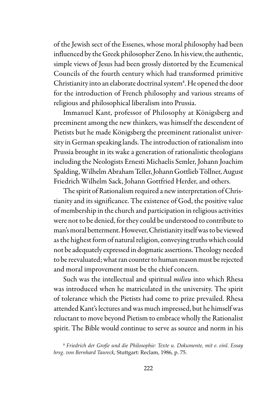of the Jewish sect of the Essenes, whose moral philosophy had been influenced by the Greek philosopher Zeno. In his view, the authentic, simple views of Jesus had been grossly distorted by the Ecumenical Councils of the fourth century which had transformed primitive Christianity into an elaborate doctrinal system8 . He opened the door for the introduction of French philosophy and various streams of religious and philosophical liberalism into Prussia.

Immanuel Kant, professor of Philosophy at Königsberg and preeminent among the new thinkers, was himself the descendent of Pietists but he made Königsberg the preeminent rationalist university in German speaking lands. The introduction of rationalism into Prussia brought in its wake a generation of rationalistic theologians including the Neologists Ernesti Michaelis Semler, Johann Joachim Spalding, Wilhelm Abraham Teller, Johann Gottlieb Töllner, August Friedrich Wilhelm Sack, Johann Gottfried Herder, and others.

The spirit of Rationalism required a new interpretation of Christianity and its significance. The existence of God, the positive value of membership in the church and participation in religious activities were not to be denied, for they could be understood to contribute to man's moral betterment. However, Christianity itself was to be viewed as the highest form of natural religion, conveying truths which could not be adequately expressed in dogmatic assertions. Theology needed to be reevaluated; what ran counter to human reason must be rejected and moral improvement must be the chief concern.

Such was the intellectual and spiritual *milieu* into which Rhesa was introduced when he matriculated in the university. The spirit of tolerance which the Pietists had come to prize prevailed. Rhesa attended Kant's lectures and was much impressed, but he himself was reluctant to move beyond Pietism to embrace wholly the Rationalist spirit. The Bible would continue to serve as source and norm in his

<sup>8</sup> *Friedrich der Große und die Philosophie: Texte u. Dokumente, mit e. einl. Essay hrsg. von Bernhard Taureck*, Stuttgart: Reclam, 1986, p. 75.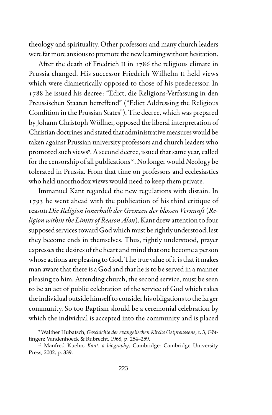theology and spirituality. Other professors and many church leaders were far more anxious to promote the new learning without hesitation.

After the death of Friedrich II in 1786 the religious climate in Prussia changed. His successor Friedrich Wilhelm II held views which were diametrically opposed to those of his predecessor. In 1788 he issued his decree: "Edict, die Religions-Verfassung in den Preussischen Staaten betreffend" ("Edict Addressing the Religious Condition in the Prussian States"). The decree, which was prepared by Johann Christoph Wöllner, opposed the liberal interpretation of Christian doctrines and stated that administrative measures would be taken against Prussian university professors and church leaders who promoted such views°. A second decree, issued that same year, called for the censorship of all publications<sup>10</sup>. No longer would Neology be tolerated in Prussia. From that time on professors and ecclesiastics who held unorthodox views would need to keep them private.

Immanuel Kant regarded the new regulations with distain. In 1793 he went ahead with the publication of his third critique of reason *Die Religion innerhalb der Grenzen der blossen Vernunft* (*Religion within the Limits of Reason Alon*). Kant drew attention to four supposed services toward God which must be rightly understood, lest they become ends in themselves. Thus, rightly understood, prayer expresses the desires of the heart and mind that one become a person whose actions are pleasing to God. The true value of it is that it makes man aware that there is a God and that he is to be served in a manner pleasing to him. Attending church, the second service, must be seen to be an act of public celebration of the service of God which takes the individual outside himself to consider his obligations to the larger community. So too Baptism should be a ceremonial celebration by which the individual is accepted into the community and is placed

<sup>9</sup> Walther Hubatsch, *Geschichte der evangelischen Kirche Ostpreussens*, t. 3, Göttingen: Vandenhoeck & Rubrecht, 1968, p. 254–259.

<sup>10</sup> Manfred Kuehn, *Kant: a biography*, Cambridge: Cambridge University Press, 2002, p. 339.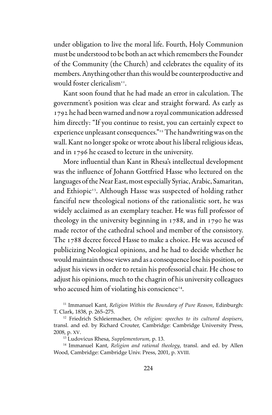under obligation to live the moral life. Fourth, Holy Communion must be understood to be both an act which remembers the Founder of the Community (the Church) and celebrates the equality of its members. Anything other than this would be counterproductive and would foster clericalism<sup>11</sup>.

Kant soon found that he had made an error in calculation. The government's position was clear and straight forward. As early as 1792 he had been warned and now a royal communication addressed him directly: "If you continue to resist, you can certainly expect to experience unpleasant consequences."12 The handwriting was on the wall. Kant no longer spoke or wrote about his liberal religious ideas, and in 1796 he ceased to lecture in the university.

More influential than Kant in Rhesa's intellectual development was the influence of Johann Gottfried Hasse who lectured on the languages of the Near East, most especially Syriac, Arabic, Samaritan, and Ethiopic<sup>13</sup>. Although Hasse was suspected of holding rather fanciful new theological notions of the rationalistic sort, he was widely acclaimed as an exemplary teacher. He was full professor of theology in the university beginning in 1788, and in 1790 he was made rector of the cathedral school and member of the consistory. The 1788 decree forced Hasse to make a choice. He was accused of publicizing Neological opinions, and he had to decide whether he would maintain those views and as a consequence lose his position, or adjust his views in order to retain his professorial chair. He chose to adjust his opinions, much to the chagrin of his university colleagues who accused him of violating his conscience<sup>14</sup>.

<sup>11</sup> Immanuel Kant, *Religion Within the Boundary of Pure Reason*, Edinburgh: T. Clark, 1838, p. 265–275.

<sup>13</sup> Ludovicus Rhesa, *Supplementorum*, p. 13.

<sup>14</sup> Immanuel Kant, *Religion and rational theology*, transl. and ed. by Allen Wood, Cambridge: Cambridge Univ. Press, 2001, p. XVIII.

<sup>12</sup> Friedrich Schleiermacher, *On religion: speeches to its cultured despisers*, transl. and ed. by Richard Crouter, Cambridge: Cambridge University Press, 2008, p. XV.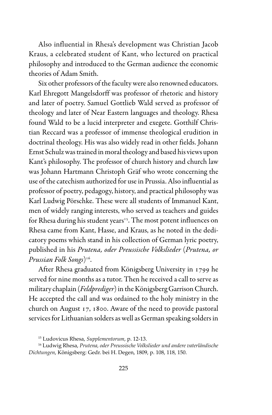Also influential in Rhesa's development was Christian Jacob Kraus, a celebrated student of Kant, who lectured on practical philosophy and introduced to the German audience the economic theories of Adam Smith.

Six other professors of the faculty were also renowned educators. Karl Ehregott Mangelsdorff was professor of rhetoric and history and later of poetry. Samuel Gottlieb Wald served as professor of theology and later of Near Eastern languages and theology. Rhesa found Wald to be a lucid interpreter and exegete. Gotthilf Christian Reccard was a professor of immense theological erudition in doctrinal theology. His was also widely read in other fields. Johann Ernst Schulz was trained in moral theology and based his views upon Kant's philosophy. The professor of church history and church law was Johann Hartmann Christoph Gräf who wrote concerning the use of the catechism authorized for use in Prussia. Also influential as professor of poetry, pedagogy, history, and practical philosophy was Karl Ludwig Pörschke. These were all students of Immanuel Kant, men of widely ranging interests, who served as teachers and guides for Rhesa during his student years<sup>15</sup>. The most potent influences on Rhesa came from Kant, Hasse, and Kraus, as he noted in the dedicatory poems which stand in his collection of German lyric poetry, published in his *Prutena, oder Preussische Volkslieder* (*Prutena, or Prussian Folk Songs*)16.

After Rhesa graduated from Königsberg University in 1799 he served for nine months as a tutor. Then he received a call to serve as military chaplain (*Feldprediger*) in the Königsberg Garrison Church. He accepted the call and was ordained to the holy ministry in the church on August 17, 1800. Aware of the need to provide pastoral services for Lithuanian solders as well as German speaking solders in

<sup>15</sup> Ludovicus Rhesa, *Supplementorum*, p. 12-13.

<sup>16</sup> Ludwig Rhesa, *Prutena, oder Preussische Volkslieder und andere vaterländische Dichtungen*, Königsberg: Gedr. bei H. Degen, 1809, p. 108, 118, 150.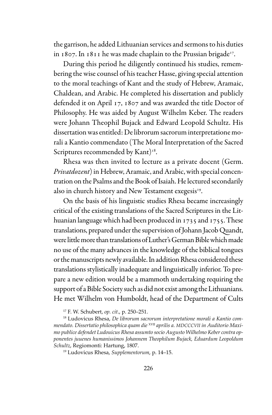the garrison, he added Lithuanian services and sermons to his duties in 1807. In 1811 he was made chaplain to the Prussian brigade<sup>17</sup>.

During this period he diligently continued his studies, remembering the wise counsel of his teacher Hasse, giving special attention to the moral teachings of Kant and the study of Hebrew, Aramaic, Chaldean, and Arabic. He completed his dissertation and publicly defended it on April 17, 1807 and was awarded the title Doctor of Philosophy. He was aided by August Wilhelm Keber. The readers were Johann Theophil Bujack and Edward Leopold Schultz. His dissertation was entitled: De librorum sacrorum interpretatione morali a Kantio commendato (The Moral Interpretation of the Sacred Scriptures recommended by Kant)<sup>18</sup>.

Rhesa was then invited to lecture as a private docent (Germ. *Privatdozent*) in Hebrew, Aramaic, and Arabic, with special concentration on the Psalms and the Book of Isaiah. He lectured secondarily also in church history and New Testament exegesis<sup>19</sup>.

On the basis of his linguistic studies Rhesa became increasingly critical of the existing translations of the Sacred Scriptures in the Lithuanian language which had been produced in 1735 and 1755. These translations, prepared under the supervision of Johann Jacob Quandt, were little more than translations of Luther's German Bible which made no use of the many advances in the knowledge of the biblical tongues or the manuscripts newly available. In addition Rhesa considered these translations stylistically inadequate and linguistically inferior. To prepare a new edition would be a mammoth undertaking requiring the support of a Bible Society such as did not exist among the Lithuanians. He met Wilhelm von Humboldt, head of the Department of Cults

17 F. W. Schubert, *op. cit*., p. 250–251.

<sup>18</sup> Ludovicus Rhesa, *De librorum sacrorum interpretatione morali a Kantio commendato. Dissertatio philosophica quam die* XVII *aprilis a. MDCCCVII in Auditorio Maximo publice defendet Ludouicus Rhesa assumto socio Augusto Wilhelmo Keber contra opponentes juuenes humanissimos Johannem Theophilum Bujack, Eduardum Leopoldum Schultz*, Regiomonti: Hartung, 1807.

<sup>19</sup> Ludovicus Rhesa, *Supplementorum*, p. 14–15.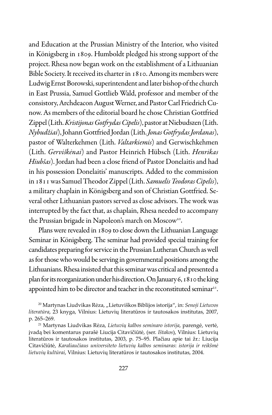and Education at the Prussian Ministry of the Interior, who visited in Königsberg in 1809. Humboldt pledged his strong support of the project. Rhesa now began work on the establishment of a Lithuanian Bible Society. It received its charter in 1810. Among its members were Ludwig Ernst Borowski, superintendent and later bishop of the church in East Prussia, Samuel Gottlieb Wald, professor and member of the consistory, Archdeacon August Werner, and Pastor Carl Friedrich Cunow. As members of the editorial board he chose Christian Gottfried Zippel (Lith. *Kristijonas Gotfrydas Cipelis*), pastor at Niebudszen (Lith. *Nybudžiai*), Johann Gottfried Jordan (Lith. *Jonas Gotfrydas Jordanas*), pastor of Walterkehmen (Lith. *Valtarkiemis*) and Gerwischkehmen (Lith. *Gerviškėnai*) and Pastor Heinrich Hübsch (Lith. *Henrikas Hiubšas*). Jordan had been a close friend of Pastor Donelaitis and had in his possession Donelaitis' manuscripts. Added to the commission in 1811 was Samuel Theodor Zippel (Lith. *Samuelis Teodoras Cipelis*), a military chaplain in Königsberg and son of Christian Gottfried. Several other Lithuanian pastors served as close advisors. The work was interrupted by the fact that, as chaplain, Rhesa needed to accompany the Prussian brigade in Napoleon's march on Moscow<sup>20</sup>.

Plans were revealed in 1809 to close down the Lithuanian Language Seminar in Königsberg. The seminar had provided special training for candidates preparing for service in the Prussian Lutheran Church as well as for those who would be serving in governmental positions among the Lithuanians. Rhesa insisted that this seminar was critical and presented a plan for its reorganization under his direction. On January 6, 1810 the king appointed him to be director and teacher in the reconstituted seminar<sup>21</sup>.

<sup>20</sup> Martynas Liudvikas Rėza, "Lietuviškos Biblijos istorija", in: *Senoji Lietuvos literatūra*, 23 knyga, Vilnius: Lietuvių literatūros ir tautosakos institutas, 2007, p. 265–269.

<sup>21</sup> Martynas Liudvikas Rėza, *Lietuvių kalbos seminaro istorija*, parengė, vertė, įvadą bei komentarus parašė Liucija Citavičiūtė, (ser. *Ištakos*), Vilnius: Lietuvių literatūros ir tautosakos institutas, 2003, p. 75–95. Plačiau apie tai žr.: Liucija Citavičiūtė, *Karaliaučiaus universiteto lietuvių kalbos seminaras*: *istorija ir reikšmė lietuvių kultūrai*, Vilnius: Lietuvių literatūros ir tautosakos institutas, 2004.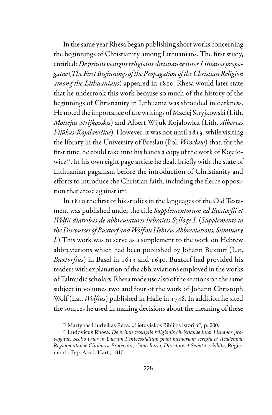In the same year Rhesa began publishing short works concerning the beginnings of Christianity among Lithuanians. The first study, entitled: *De primis vestigiis religionis christianae inter Lituanos propogatae* (*The First Beginnings of the Propagation of the Christian Religion among the Lithuanians*) appeared in 1810. Rhesa would later state that he undertook this work because so much of the history of the beginnings of Christianity in Lithuania was shrouded in darkness. He noted the importance of the writings of Maciej Stryjkowski (Lith. *Motiejus Strijkovskis*) and Albert Wijuk Kojałowicz (Lith. *Albertas Vijūkas-Kojalavičius*). However, it was not until 1813, while visiting the library in the University of Breslau (Pol. *Wrocław*) that, for the first time, he could take into his hands a copy of the work of Kojałowicz<sup>22</sup>. In his own eight page article he dealt briefly with the state of Lithuanian paganism before the introduction of Christianity and efforts to introduce the Christian faith, including the fierce opposition that arose against it<sup>23</sup>.

In 1810 the first of his studies in the languages of the Old Testament was published under the title *Supplementorum ad Buxtorfii et Wolfii diatribas de abbreuiaturis hebraicis Sylloge I*. (*Supplements to the Discourses of Buxtorf and Wolf on Hebrew Abbreviations, Summary I*.) This work was to serve as a supplement to the work on Hebrew abbreviations which had been published by Johann Buxtorf (Lat. *Buxtorfius*) in Basel in 1613 and 1640. Buxtorf had provided his readers with explanation of the abbreviations employed in the works of Talmudic scholars. Rhesa made use also of the sections on the same subject in volumes two and four of the work of Johann Christoph Wolf (Lat. *Wolfius*) published in Halle in 1748. In addition he sited the sources he used in making decisions about the meaning of these

<sup>&</sup>lt;sup>22</sup> Martynas Liudvikas Rėza, "Lietuviškos Biblijos istorija", p. 200.

<sup>23</sup> Ludovicus Rhesa, *De primis vestigiis religionis christianae inter Lituanos propogatae. Sectio prior in Dierum Pentecostalium piam memoriam scripta et Academiae Regiomontanae Ciuibus a Prorectore, Cancellario, Directore et Senatu exhibita*, Regiomonti: Typ. Acad. Hart., 1810.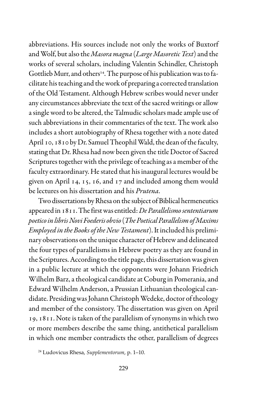abbreviations. His sources include not only the works of Buxtorf and Wolf, but also the *Masora magna* (*Large Masoretic Text*) and the works of several scholars, including Valentin Schindler, Christoph Gottlieb Murr, and others<sup>24</sup>. The purpose of his publication was to facilitate his teaching and the work of preparing a corrected translation of the Old Testament. Although Hebrew scribes would never under any circumstances abbreviate the text of the sacred writings or allow a single word to be altered, the Talmudic scholars made ample use of such abbreviations in their commentaries of the text. The work also includes a short autobiography of Rhesa together with a note dated April 10, 1810 by Dr. Samuel Theophil Wald, the dean of the faculty, stating that Dr. Rhesa had now been given the title Doctor of Sacred Scriptures together with the privilege of teaching as a member of the faculty extraordinary. He stated that his inaugural lectures would be given on April 14, 15, 16, and 17 and included among them would be lectures on his dissertation and his *Prutena*.

Two dissertations by Rhesa on the subject of Biblical hermeneutics appeared in 1811. The first was entitled: *De Parallelismo sententiarum poetico in libris Novi Foederis obvio* (*The Poetical Parallelism of Maxims Employed in the Books of the New Testament*). It included his preliminary observations on the unique character of Hebrew and delineated the four types of parallelisms in Hebrew poetry as they are found in the Scriptures. According to the title page, this dissertation was given in a public lecture at which the opponents were Johann Friedrich Wilhelm Barz, a theological candidate at Coburg in Pomerania, and Edward Wilhelm Anderson, a Prussian Lithuanian theological candidate. Presiding was Johann Christoph Wedeke, doctor of theology and member of the consistory. The dissertation was given on April 19, 1811. Note is taken of the parallelism of synonyms in which two or more members describe the same thing, antithetical parallelism in which one member contradicts the other, parallelism of degrees

<sup>24</sup> Ludovicus Rhesa, *Supplementorum*, p. 1–10.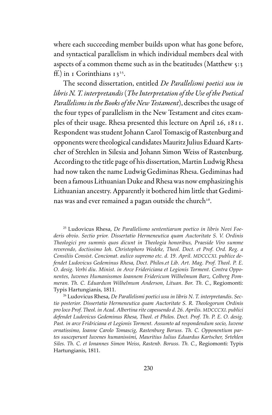where each succeeding member builds upon what has gone before, and syntactical parallelism in which individual members deal with aspects of a common theme such as in the beatitudes (Matthew 5:3 ff.) in 1 Corinthians  $13^{25}$ .

The second dissertation, entitled *De Parallelismi poetici usu in libris N. T. interpretandis* (*The Interpretation of the Use of the Poetical Parallelisms in the Books of the New Testament*), describes the usage of the four types of parallelism in the New Testament and cites examples of their usage. Rhesa presented this lecture on April 26, 1811. Respondent was student Johann Carol Tomascig of Rastenburg and opponents were theological candidates Mauritz Julius Eduard Kartscher of Strehlen in Silesia and Johann Simon Weiss of Rastenburg. According to the title page of his dissertation, Martin Ludwig Rhesa had now taken the name Ludwig Gediminas Rhesa. Gediminas had been a famous Lithuanian Duke and Rhesa was now emphasizing his Lithuanian ancestry. Apparently it bothered him little that Gediminas was and ever remained a pagan outside the church<sup>26</sup>.

<sup>25</sup> Ludovicus Rhesa, *De Parallelismo sententiarum poetico in libris Novi Foederis obvio*. *Sectio prior. Dissertatio Hermeneutica quam Auctoritate S. V. Ordinis Theologici pro summis quos dicunt in Theologia honoribus, Praeside Viro summe reverendo, doctissimo Ioh. Christophoro Wedeke, Theol. Doct. et Prof. Ord. Reg. a Consiliis Consist. Concionat. aulico supremo etc. d. 19. April. MDCCCXI. publice defendet Ludovicus Gedeminus Rhesa, Doct. Philos.et Lib. Art. Mag. Prof. Theol. P. E. O. desig. Verbi diu. Minist. in Arce Fridericiana et Legionis Torment. Contra Opponentes, Iuvenes Humanissmos Ioannem Fridericum Wilhelmum Barz, Colberg Pommeran. Th. C. Eduardum Wilhelmum Anderson, Lituan. Bor. Th. C.*, Regiomonti: Typis Hartungianis, 1811.

<sup>26</sup> Ludovicus Rhesa, *De Parallelismi poetici usu in libris N. T. interpretandis*. *Sectio posterior. Dissertatio Hermeneutica quam Auctoritate S. R. Theologorum Ordinis pro loco Prof. Theol. in Acad. Albertina rite capessendo d. 26. Aprilis. MDCCCXI. publici defendet Ludovicus Gedeminus Rhesa, Theol. et Philos. Doct. Prof. Th. P. E. O. desig. Past. in arce Fridriciana et Legionis Torment. Assumto ad respondendum socio, Iuvene ornatissimo, Ioanne Carolo Tomascig, Rastenburg Boruss. Th. C. Opponentium partes susceperunt Iuvenes humanissimi, Mauritius Iulius Eduardus Kartscher, Srtehlen Siles. Th. C. et Ionannes Simon Weiss, Rastenb. Boruss. Th. C.*, Regiomonti: Typis Hartungianis, 1811.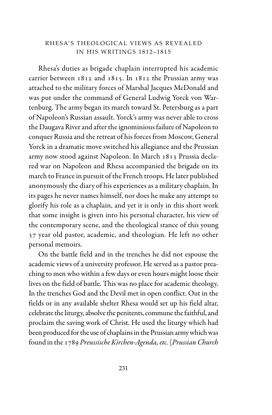#### RHESA'S THEOLOGICAL VIEWS AS REVEALED IN HIS WRITINGS 1812-1815

Rhesa's duties as brigade chaplain interrupted his academic carrier between 1812 and 1815. In 1812 the Prussian army was attached to the military forces of Marshal Jacques McDonald and was put under the command of General Ludwig Yorck von Wartenburg. The army began its march toward St. Petersburg as a part of Napoleon's Russian assault. Yorck's army was never able to cross the Daugava River and after the ignominious failure of Napoleon to conquer Russia and the retreat of his forces from Moscow, General Yorck in a dramatic move switched his allegiance and the Prussian army now stood against Napoleon. In March 1813 Prussia declared war on Napoleon and Rhesa accompanied the brigade on its march to France in pursuit of the French troops. He later published anonymously the diary of his experiences as a military chaplain. In its pages he never names himself, nor does he make any attempt to glorify his role as a chaplain, and yet it is only in this short work that some insight is given into his personal character, his view of the contemporary scene, and the theological stance of this young 37 year old pastor, academic, and theologian. He left no other personal memoirs.

On the battle field and in the trenches he did not espouse the academic views of a university professor. He served as a pastor preaching to men who within a few days or even hours might loose their lives on the field of battle. This was no place for academic theology. In the trenches God and the Devil met in open conflict. Out in the fields or in any available shelter Rhesa would set up his field altar, celebrate the liturgy, absolve the penitents, commune the faithful, and proclaim the saving work of Christ. He used the liturgy which had been produced for the use of chaplains in the Prussian army which was found in the 1789 *Preussische Kirchen-Agenda, etc.* (*Prussian Church*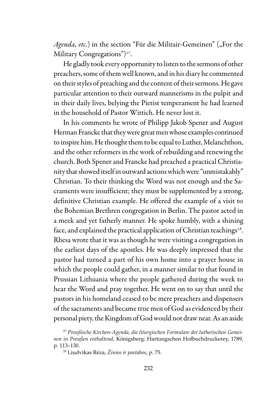*Agenda, etc.*) in the section "Für die Militair-Gemeinen" ("For the Military Congregations")<sup>27</sup>.

He gladly took every opportunity to listen to the sermons of other preachers, some of them well known, and in his diary he commented on their styles of preaching and the content of their sermons. He gave particular attention to their outward mannerisms in the pulpit and in their daily lives, belying the Pietist temperament he had learned in the household of Pastor Wittich. He never lost it.

In his comments he wrote of Philipp Jakob Spener and August Herman Francke that they were great men whose examples continued to inspire him. He thought them to be equal to Luther, Melanchthon, and the other reformers in the work of rebuilding and renewing the church. Both Spener and Francke had preached a practical Christianity that showed itself in outward actions which were "unmistakably" Christian. To their thinking the Word was not enough and the Sacraments were insufficient; they must be supplemented by a strong, definitive Christian example. He offered the example of a visit to the Bohemian Brethren congregation in Berlin. The pastor acted in a meek and yet fatherly manner. He spoke humbly, with a shining face, and explained the practical application of Christian teachings<sup>28</sup>. Rhesa wrote that it was as though he were visiting a congregation in the earliest days of the apostles. He was deeply impressed that the pastor had turned a part of his own home into a prayer house in which the people could gather, in a manner similar to that found in Prussian Lithuania where the people gathered during the week to hear the Word and pray together. He went on to say that until the pastors in his homeland ceased to be mere preachers and dispensers of the sacraments and became true men of God as evidenced by their personal piety, the Kingdom of God would not draw near. As an aside

<sup>27</sup> *Preußische Kirchen-Agenda, die liturgischen Formulare der lutherischen Gemeinen in Preußen enthaltend*, Königsberg: Hartungschen Hofbuchdruckerey, 1789, p. 113–130.

<sup>28</sup> Liudvikas Rėza, *Žinios ir pastabos*, p. 75.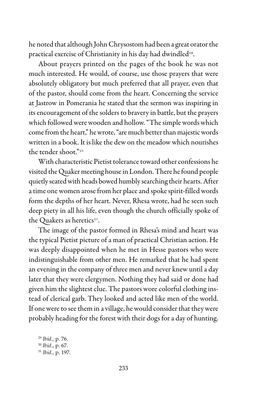he noted that although John Chrysostom had been a great orator the practical exercise of Christianity in his day had dwindled<sup>29</sup>.

About prayers printed on the pages of the book he was not much interested. He would, of course, use those prayers that were absolutely obligatory but much preferred that all prayer, even that of the pastor, should come from the heart. Concerning the service at Jastrow in Pomerania he stated that the sermon was inspiring in its encouragement of the solders to bravery in battle, but the prayers which followed were wooden and hollow. "The simple words which come from the heart," he wrote, "are much better than majestic words written in a book. It is like the dew on the meadow which nourishes the tender shoot<sup>"30</sup>

With characteristic Pietist tolerance toward other confessions he visited the Quaker meeting house in London. There he found people quietly seated with heads bowed humbly searching their hearts. After a time one women arose from her place and spoke spirit-filled words form the depths of her heart. Never, Rhesa wrote, had he seen such deep piety in all his life, even though the church officially spoke of the Quakers as heretics<sup>31</sup>.

The image of the pastor formed in Rhesa's mind and heart was the typical Pietist picture of a man of practical Christian action. He was deeply disappointed when he met in Hesse pastors who were indistinguishable from other men. He remarked that he had spent an evening in the company of three men and never knew until a day later that they were clergymen. Nothing they had said or done had given him the slightest clue. The pastors wore colorful clothing instead of clerical garb. They looked and acted like men of the world. If one were to see them in a village, he would consider that they were probably heading for the forest with their dogs for a day of hunting.

<sup>29</sup> *Ibid.*, p. 76. <sup>30</sup> *Ibid.*, p. 67. <sup>31</sup> *Ibid.*, p. 197.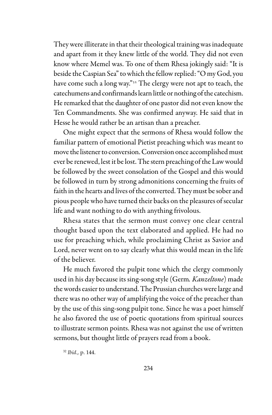They were illiterate in that their theological training was inadequate and apart from it they knew little of the world. They did not even know where Memel was. To one of them Rhesa jokingly said: "It is beside the Caspian Sea" to which the fellow replied: "O my God, you have come such a long way."32 The clergy were not apt to teach, the catechumens and confirmands learn little or nothing of the catechism. He remarked that the daughter of one pastor did not even know the Ten Commandments. She was confirmed anyway. He said that in Hesse he would rather be an artisan than a preacher.

One might expect that the sermons of Rhesa would follow the familiar pattern of emotional Pietist preaching which was meant to move the listener to conversion. Conversion once accomplished must ever be renewed, lest it be lost. The stern preaching of the Law would be followed by the sweet consolation of the Gospel and this would be followed in turn by strong admonitions concerning the fruits of faith in the hearts and lives of the converted. They must be sober and pious people who have turned their backs on the pleasures of secular life and want nothing to do with anything frivolous.

Rhesa states that the sermon must convey one clear central thought based upon the text elaborated and applied. He had no use for preaching which, while proclaiming Christ as Savior and Lord, never went on to say clearly what this would mean in the life of the believer.

He much favored the pulpit tone which the clergy commonly used in his day because its sing-song style (Germ*. Kanzeltone*) made the words easier to understand. The Prussian churches were large and there was no other way of amplifying the voice of the preacher than by the use of this sing-song pulpit tone. Since he was a poet himself he also favored the use of poetic quotations from spiritual sources to illustrate sermon points. Rhesa was not against the use of written sermons, but thought little of prayers read from a book.

<sup>32</sup> *Ibid.*, p. 144.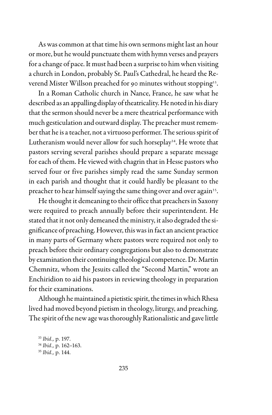As was common at that time his own sermons might last an hour or more, but he would punctuate them with hymn verses and prayers for a change of pace. It must had been a surprise to him when visiting a church in London, probably St. Paul's Cathedral, he heard the Reverend Mister Willson preached for 90 minutes without stopping<sup>33</sup>.

In a Roman Catholic church in Nance, France, he saw what he described as an appalling display of theatricality. He noted in his diary that the sermon should never be a mere theatrical performance with much gesticulation and outward display. The preacher must remember that he is a teacher, not a virtuoso performer. The serious spirit of Lutheranism would never allow for such horseplay<sup>34</sup>. He wrote that pastors serving several parishes should prepare a separate message for each of them. He viewed with chagrin that in Hesse pastors who served four or five parishes simply read the same Sunday sermon in each parish and thought that it could hardly be pleasant to the preacher to hear himself saying the same thing over and over again<sup>35</sup>.

He thought it demeaning to their office that preachers in Saxony were required to preach annually before their superintendent. He stated that it not only demeaned the ministry, it also degraded the significance of preaching. However, this was in fact an ancient practice in many parts of Germany where pastors were required not only to preach before their ordinary congregations but also to demonstrate by examination their continuing theological competence. Dr. Martin Chemnitz, whom the Jesuits called the "Second Martin," wrote an Enchiridion to aid his pastors in reviewing theology in preparation for their examinations.

Although he maintained a pietistic spirit, the times in which Rhesa lived had moved beyond pietism in theology, liturgy, and preaching. The spirit of the new age was thoroughly Rationalistic and gave little

<sup>33</sup> *Ibid.*, p. 197. <sup>34</sup> *Ibid.*, p. 162–163. <sup>35</sup> *Ibid.*, p. 144.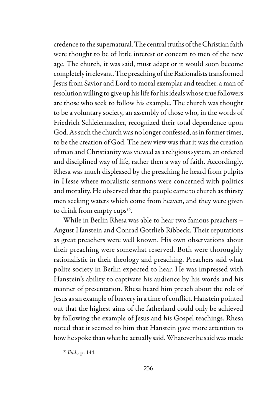credence to the supernatural. The central truths of the Christian faith were thought to be of little interest or concern to men of the new age. The church, it was said, must adapt or it would soon become completely irrelevant. The preaching of the Rationalists transformed Jesus from Savior and Lord to moral exemplar and teacher, a man of resolution willing to give up his life for his ideals whose true followers are those who seek to follow his example. The church was thought to be a voluntary society, an assembly of those who, in the words of Friedrich Schleiermacher, recognized their total dependence upon God. As such the church was no longer confessed, as in former times, to be the creation of God. The new view was that it was the creation of man and Christianity was viewed as a religious system, an ordered and disciplined way of life, rather then a way of faith. Accordingly, Rhesa was much displeased by the preaching he heard from pulpits in Hesse where moralistic sermons were concerned with politics and morality. He observed that the people came to church as thirsty men seeking waters which come from heaven, and they were given to drink from empty cups<sup>36</sup>.

While in Berlin Rhesa was able to hear two famous preachers – August Hanstein and Conrad Gottlieb Ribbeck. Their reputations as great preachers were well known. His own observations about their preaching were somewhat reserved. Both were thoroughly rationalistic in their theology and preaching. Preachers said what polite society in Berlin expected to hear. He was impressed with Hanstein's ability to captivate his audience by his words and his manner of presentation. Rhesa heard him preach about the role of Jesus as an example of bravery in a time of conflict. Hanstein pointed out that the highest aims of the fatherland could only be achieved by following the example of Jesus and his Gospel teachings. Rhesa noted that it seemed to him that Hanstein gave more attention to how he spoke than what he actually said. Whatever he said was made

<sup>36</sup> *Ibid.*, p. 144.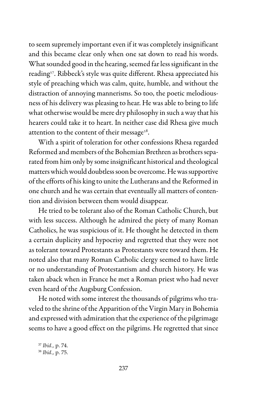to seem supremely important even if it was completely insignificant and this became clear only when one sat down to read his words. What sounded good in the hearing, seemed far less significant in the reading<sup>37</sup>. Ribbeck's style was quite different. Rhesa appreciated his style of preaching which was calm, quite, humble, and without the distraction of annoying mannerisms. So too, the poetic melodiousness of his delivery was pleasing to hear. He was able to bring to life what otherwise would be mere dry philosophy in such a way that his hearers could take it to heart. In neither case did Rhesa give much attention to the content of their message<sup>38</sup>.

With a spirit of toleration for other confessions Rhesa regarded Reformed and members of the Bohemian Brethren as brothers separated from him only by some insignificant historical and theological matters which would doubtless soon be overcome. He was supportive of the efforts of his king to unite the Lutherans and the Reformed in one church and he was certain that eventually all matters of contention and division between them would disappear.

He tried to be tolerant also of the Roman Catholic Church, but with less success. Although he admired the piety of many Roman Catholics, he was suspicious of it. He thought he detected in them a certain duplicity and hypocrisy and regretted that they were not as tolerant toward Protestants as Protestants were toward them. He noted also that many Roman Catholic clergy seemed to have little or no understanding of Protestantism and church history. He was taken aback when in France he met a Roman priest who had never even heard of the Augsburg Confession.

He noted with some interest the thousands of pilgrims who traveled to the shrine of the Apparition of the Virgin Mary in Bohemia and expressed with admiration that the experience of the pilgrimage seems to have a good effect on the pilgrims. He regretted that since

<sup>37</sup> *Ibid.*, p. 74. <sup>38</sup> *Ibid.*, p. 75.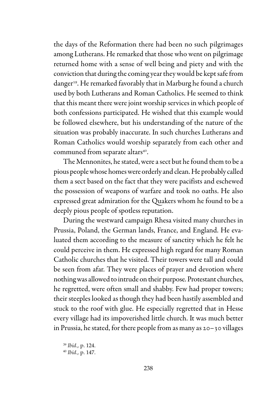the days of the Reformation there had been no such pilgrimages among Lutherans. He remarked that those who went on pilgrimage returned home with a sense of well being and piety and with the conviction that during the coming year they would be kept safe from danger<sup>39</sup>. He remarked favorably that in Marburg he found a church used by both Lutherans and Roman Catholics. He seemed to think that this meant there were joint worship services in which people of both confessions participated. He wished that this example would be followed elsewhere, but his understanding of the nature of the situation was probably inaccurate. In such churches Lutherans and Roman Catholics would worship separately from each other and communed from separate altars<sup>40</sup>.

The Mennonites, he stated, were a sect but he found them to be a pious people whose homes were orderly and clean. He probably called them a sect based on the fact that they were pacifists and eschewed the possession of weapons of warfare and took no oaths. He also expressed great admiration for the Quakers whom he found to be a deeply pious people of spotless reputation.

During the westward campaign Rhesa visited many churches in Prussia, Poland, the German lands, France, and England. He evaluated them according to the measure of sanctity which he felt he could perceive in them. He expressed high regard for many Roman Catholic churches that he visited. Their towers were tall and could be seen from afar. They were places of prayer and devotion where nothing was allowed to intrude on their purpose. Protestant churches, he regretted, were often small and shabby. Few had proper towers; their steeples looked as though they had been hastily assembled and stuck to the roof with glue. He especially regretted that in Hesse every village had its impoverished little church. It was much better in Prussia, he stated, for there people from as many as 20–30 villages

<sup>39</sup> *Ibid.*, p. 124. <sup>40</sup> *Ibid.*, p. 147.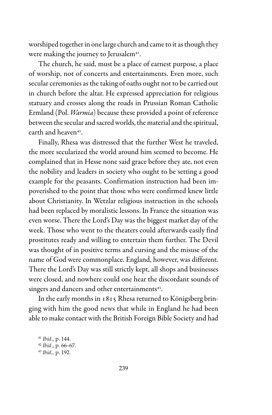worshiped together in one large church and came to it as though they were making the journey to Jerusalem<sup>41</sup>.

The church, he said, must be a place of earnest purpose, a place of worship, not of concerts and entertainments. Even more, such secular ceremonies as the taking of oaths ought not to be carried out in church before the altar. He expressed appreciation for religious statuary and crosses along the roads in Prussian Roman Catholic Ermland (Pol. *Warmia*) because these provided a point of reference between the secular and sacred worlds, the material and the spiritual, earth and heaven<sup>42</sup>.

Finally, Rhesa was distressed that the further West he traveled, the more secularized the world around him seemed to become. He complained that in Hesse none said grace before they ate, not even the nobility and leaders in society who ought to be setting a good example for the peasants. Confirmation instruction had been impoverished to the point that those who were confirmed knew little about Christianity. In Wetzlar religious instruction in the schools had been replaced by moralistic lessons. In France the situation was even worse. There the Lord's Day was the biggest market day of the week. Those who went to the theaters could afterwards easily find prostitutes ready and willing to entertain them further. The Devil was thought of in positive terms and cursing and the misuse of the name of God were commonplace. England, however, was different. There the Lord's Day was still strictly kept, all shops and businesses were closed, and nowhere could one hear the discordant sounds of singers and dancers and other entertainments<sup>43</sup>.

In the early months in 1815 Rhesa returned to Königsberg bringing with him the good news that while in England he had been able to make contact with the British Foreign Bible Society and had

<sup>41</sup> *Ibid.*, p. 144. <sup>42</sup> *Ibid.*, p. 66–67. <sup>43</sup> *Ibid.*, p. 192.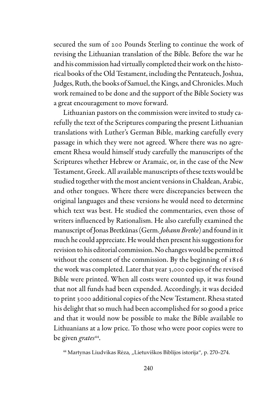secured the sum of 200 Pounds Sterling to continue the work of revising the Lithuanian translation of the Bible. Before the war he and his commission had virtually completed their work on the historical books of the Old Testament, including the Pentateuch, Joshua, Judges, Ruth, the books of Samuel, the Kings, and Chronicles. Much work remained to be done and the support of the Bible Society was a great encouragement to move forward.

Lithuanian pastors on the commission were invited to study carefully the text of the Scriptures comparing the present Lithuanian translations with Luther's German Bible, marking carefully every passage in which they were not agreed. Where there was no agreement Rhesa would himself study carefully the manuscripts of the Scriptures whether Hebrew or Aramaic, or, in the case of the New Testament, Greek. All available manuscripts of these texts would be studied together with the most ancient versions in Chaldean, Arabic, and other tongues. Where there were discrepancies between the original languages and these versions he would need to determine which text was best. He studied the commentaries, even those of writers influenced by Rationalism. He also carefully examined the manuscript of Jonas Bretkūnas (Germ. *Johann Bretke*) and found in it much he could appreciate. He would then present his suggestions for revision to his editorial commission. No changes would be permitted without the consent of the commission. By the beginning of 1816 the work was completed. Later that year 3,000 copies of the revised Bible were printed. When all costs were counted up, it was found that not all funds had been expended. Accordingly, it was decided to print 3000 additional copies of the New Testament. Rhesa stated his delight that so much had been accomplished for so good a price and that it would now be possible to make the Bible available to Lithuanians at a low price. To those who were poor copies were to be given *grates*<sup>44</sup>.

<sup>44</sup> Martynas Liudvikas Rėza, "Lietuviškos Biblijos istorija", p. 270–274.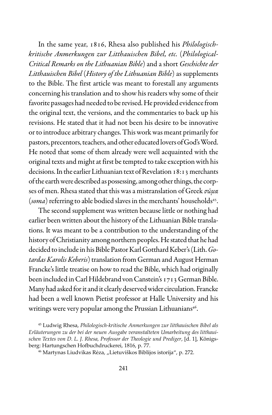In the same year, 1816, Rhesa also published his *Philologischkritische Anmerkungen zur Litthauischen Bibel, etc.* (*Philological-Critical Remarks on the Lithuanian Bible*) and a short *Geschichte der Litthauischen Bibel* (*History of the Lithuanian Bible*) as supplements to the Bible. The first article was meant to forestall any arguments concerning his translation and to show his readers why some of their favorite passages had needed to be revised. He provided evidence from the original text, the versions, and the commentaries to back up his revisions. He stated that it had not been his desire to be innovative or to introduce arbitrary changes. This work was meant primarily for pastors, precentors, teachers, and other educated lovers of God's Word. He noted that some of them already were well acquainted with the original texts and might at first be tempted to take exception with his decisions. In the earlier Lithuanian text of Revelation 18:13 merchants of the earth were described as possessing, among other things, the corpses of men. Rhesa stated that this was a mistranslation of Greek *σῶμα* (soma) referring to able bodied slaves in the merchants' households<sup>45</sup>.

The second supplement was written because little or nothing had earlier been written about the history of the Lithuanian Bible translations. It was meant to be a contribution to the understanding of the history of Christianity among northern peoples. He stated that he had decided to include in his Bible Pastor Karl Gotthard Keber's (Lith. *Gotardas Karolis Keberis*) translation from German and August Herman Francke's little treatise on how to read the Bible, which had originally been included in Carl Hildebrand von Canstein's 1713 German Bible. Many had asked for it and it clearly deserved wider circulation. Francke had been a well known Pietist professor at Halle University and his writings were very popular among the Prussian Lithuanians<sup>46</sup>.

<sup>45</sup> Ludwig Rhesa, *Philologisch-kritische Anmerkungen zur litthauischen Bibel als Erläuterungen zu der bei der neuen Ausgabe veranstalteten Umarbeitung des litthauischen Textes von D. L. J. Rhesa, Professor der Theologie und Prediger*, [d. 1], Königsberg: Hartungschen Hofbuchdruckerei, 1816, p. 77.

<sup>&</sup>lt;sup>46</sup> Martynas Liudvikas Rėza, "Lietuviškos Biblijos istorija", p. 272.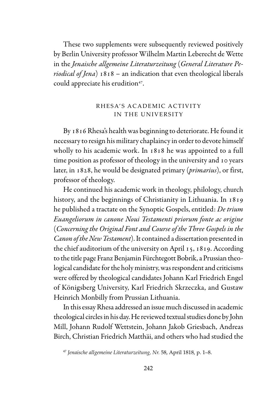These two supplements were subsequently reviewed positively by Berlin University professor Wilhelm Martin Leberecht de Wette in the *Jenaische allgemeine Literaturzeitung* (*General Literature Periodical of Jena*) 1818 – an indication that even theological liberals could appreciate his erudition<sup>47</sup>.

#### RHE SA'S ACADEMIC ACTIVITY IN THE UNIVERSITY

By 1816 Rhesa's health was beginning to deteriorate. He found it necessary to resign his military chaplaincy in order to devote himself wholly to his academic work. In 1818 he was appointed to a full time position as professor of theology in the university and 10 years later, in 1828, he would be designated primary (*primarius*), or first, professor of theology.

He continued his academic work in theology, philology, church history, and the beginnings of Christianity in Lithuania. In 1819 he published a tractate on the Synoptic Gospels, entitled: *De trium Euangeliorum in canone Noui Testamenti priorum fonte ac origine* (*Concerning the Original Font and Course of the Three Gospels in the Canon of the New Testament*). It contained a dissertation presented in the chief auditorium of the university on April 15, 1819. According to the title page Franz Benjamin Fürchtegott Bobrik, a Prussian theological candidate for the holy ministry, was respondent and criticisms were offered by theological candidates Johann Karl Friedrich Engel of Königsberg University, Karl Friedrich Skrzeczka, and Gustaw Heinrich Monbilly from Prussian Lithuania.

In this essay Rhesa addressed an issue much discussed in academic theological circles in his day. He reviewed textual studies done by John Mill, Johann Rudolf Wettstein, Johann Jakob Griesbach, Andreas Birch, Christian Friedrich Matthäi, and others who had studied the

<sup>47</sup> *Jenaische allgemeine Literaturzeitung, Nr.* 58, April 1818, p. 1–8.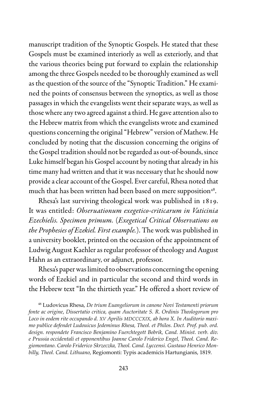manuscript tradition of the Synoptic Gospels. He stated that these Gospels must be examined interiorly as well as exteriorly, and that the various theories being put forward to explain the relationship among the three Gospels needed to be thoroughly examined as well as the question of the source of the "Synoptic Tradition." He examined the points of consensus between the synoptics, as well as those passages in which the evangelists went their separate ways, as well as those where any two agreed against a third. He gave attention also to the Hebrew matrix from which the evangelists wrote and examined questions concerning the original "Hebrew" version of Mathew. He concluded by noting that the discussion concerning the origins of the Gospel tradition should not be regarded as out-of-bounds, since Luke himself began his Gospel account by noting that already in his time many had written and that it was necessary that he should now provide a clear account of the Gospel. Ever careful, Rhesa noted that much that has been written had been based on mere supposition<sup>48</sup>.

Rhesa's last surviving theological work was published in 1819. It was entitled: *Obseruationum exegetico-criticarum in Vaticinia Ezechielis. Specimen primum.* (*Exegetical Critical Observations on the Prophesies of Ezekiel. First example.*). The work was published in a university booklet, printed on the occasion of the appointment of Ludwig August Kaehler as regular professor of theology and August Hahn as an extraordinary, or adjunct, professor.

Rhesa's paper was limited to observations concerning the opening words of Ezekiel and in particular the second and third words in the Hebrew text "In the thirtieth year." He offered a short review of

<sup>48</sup> Ludovicus Rhesa, *De trium Euangeliorum in canone Novi Testamenti priorum fonte ac origine*, *Dissertatio critica, quam Auctoritate S. R. Ordinis Theologorum pro Loco in eodem rite occupando d. XV Aprilis MDCCCXIX, ab hora X. In Auditorio maximo publice defendet Ludouicus Jedeminus Rhesa, Theol. et Philos. Doct. Prof. pub. ord. design. respondete Francisco Benjamino Fuerchtegott Bobrik, Cand. Minist. verb. div. e Prussia occidentali et opponentibus Joanne Carolo Friderico Engel, Theol. Cand. Regiomontano. Carolo Friderico Skrzeczka, Theol. Cand. Lyccensi. Gustauo Henrico Monbilly, Theol. Cand. Lithuano*, Regiomonti: Typis academicis Hartungianis, 1819.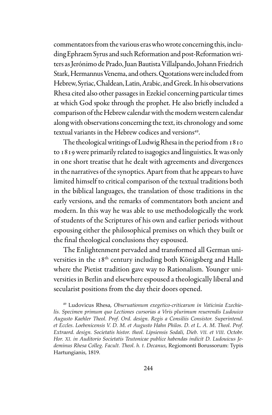commentators from the various eras who wrote concerning this, including Ephraem Syrus and such Reformation and post-Reformation writers as Jerónimo de Prado, Juan Bautista Villalpando, Johann Friedrich Stark, Hermannus Venema, and others. Quotations were included from Hebrew, Syriac, Chaldean, Latin, Arabic, and Greek. In his observations Rhesa cited also other passages in Ezekiel concerning particular times at which God spoke through the prophet. He also briefly included a comparison of the Hebrew calendar with the modern western calendar along with observations concerning the text, its chronology and some textual variants in the Hebrew codices and versions<sup>49</sup>.

The theological writings of Ludwig Rhesa in the period from 1810 to 1819 were primarily related to isagogics and linguistics. It was only in one short treatise that he dealt with agreements and divergences in the narratives of the synoptics. Apart from that he appears to have limited himself to critical comparison of the textual traditions both in the biblical languages, the translation of those traditions in the early versions, and the remarks of commentators both ancient and modern. In this way he was able to use methodologically the work of students of the Scriptures of his own and earlier periods without espousing either the philosophical premises on which they built or the final theological conclusions they espoused.

The Enlightenment pervaded and transformed all German universities in the 18<sup>th</sup> century including both Königsberg and Halle where the Pietist tradition gave way to Rationalism. Younger universities in Berlin and elsewhere espoused a theologically liberal and secularist positions from the day their doors opened.

<sup>49</sup> Ludovicus Rhesa, *Obseruationum exegetico-criticarum in Vaticinia Ezechielis. Specimen primum quo Lectiones cursorias a Viris plurimum reuerendis Ludouico Augusto Kaehler Theol. Prof. Ord. design. Regis a Consiliis Consistor. Superintend. et Eccles. Loebenicensis V. D. M. et Augusto Hahn Philos. D. et L. A. M. Theol. Prof. Extraord. design. Societatis histor. theol. Lipsiensis Sodali, Dieb. VII. et VIII. Octobr. Hor. XI. in Auditorio Societatis Teutonicae publice habendas indicit D. Ludouicus Jedeminus Rhesa Colleg. Facult. Theol. h. t. Decanus*, Regiomonti Borussorum: Typis Hartungianis, 1819.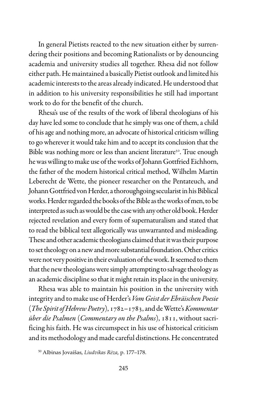In general Pietists reacted to the new situation either by surrendering their positions and becoming Rationalists or by denouncing academia and university studies all together. Rhesa did not follow either path. He maintained a basically Pietist outlook and limited his academic interests to the areas already indicated. He understood that in addition to his university responsibilities he still had important work to do for the benefit of the church.

Rhesa's use of the results of the work of liberal theologians of his day have led some to conclude that he simply was one of them, a child of his age and nothing more, an advocate of historical criticism willing to go wherever it would take him and to accept its conclusion that the Bible was nothing more or less than ancient literature<sup>50</sup>. True enough he was willing to make use of the works of Johann Gottfried Eichhorn, the father of the modern historical critical method, Wilhelm Martin Leberecht de Wette, the pioneer researcher on the Pentateuch, and Johann Gottfried von Herder, a thoroughgoing secularist in his Biblical works. Herder regarded the books of the Bible as the works of men, to be interpreted as such as would be the case with any other old book. Herder rejected revelation and every form of supernaturalism and stated that to read the biblical text allegorically was unwarranted and misleading. These and other academic theologians claimed that it was their purpose to set theology on a new and more substantial foundation. Other critics were not very positive in their evaluation of the work. It seemed to them that the new theologians were simply attempting to salvage theology as an academic discipline so that it might retain its place in the university.

Rhesa was able to maintain his position in the university with integrity and to make use of Herder's *Vom Geist der Ebräischen Poesie* (*The Spirit of Hebrew Poetry*), 1782–1783, and de Wette's *Kommentar über die Psalmen* (*Commentary on the Psalms*), 1811, without sacrificing his faith. He was circumspect in his use of historical criticism and its methodology and made careful distinctions. He concentrated

<sup>50</sup> Albinas Jovaišas, *Liudvikas Rėza*, p. 177–178.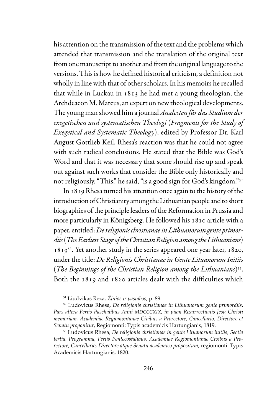his attention on the transmission of the text and the problems which attended that transmission and the translation of the original text from one manuscript to another and from the original language to the versions. This is how he defined historical criticism, a definition not wholly in line with that of other scholars. In his memoirs he recalled that while in Luckau in 1813 he had met a young theologian, the Archdeacon M. Marcus, an expert on new theological developments. The young man showed him a journal *Analecten für das Studium der exegetischen und systematischen Theologi* (*Fragments for the Study of Exegetical and Systematic Theology*), edited by Professor Dr. Karl August Gottlieb Keil. Rhesa's reaction was that he could not agree with such radical conclusions. He stated that the Bible was God's Word and that it was necessary that some should rise up and speak out against such works that consider the Bible only historically and not religiously. "This," he said, "is a good sign for God's kingdom."51

In 1819 Rhesa turned his attention once again to the history of the introduction of Christianity among the Lithuanian people and to short biographies of the principle leaders of the Reformation in Prussia and more particularly in Königsberg. He followed his 1810 article with a paper, entitled: *De religionis christianae in Lithuanorum gente primordiis* (*The Earliest Stage of the Christian Religion among the Lithuanians*) 181952. Yet another study in the series appeared one year later, 1820, under the title: *De Religionis Christianae in Gente Lituanorum Initiis* (*The Beginnings of the Christian Religion among the Lithuanians*) 53. Both the 1819 and 1820 articles dealt with the difficulties which

<sup>51</sup> Liudvikas Rėza, *Žinios ir pastabos*, p. 89.

<sup>52</sup> Ludovicus Rhesa, *De religionis christianae in Lithuanorum gente primordiis*. *Pars altera Feriis Paschalibus Anni MDCCCXIX, in piam Resurrectionis Jesu Christi memoriam, Academiae Regiomontanae Civibus a Prorectore, Cancellario, Directore et Senatu proponitur*, Regiomonti: Typis academicis Hartungianis, 1819.

<sup>53</sup> Ludovicus Rhesa, *De religionis christianae in gente Lituanorum initiis, Sectio tertia. Programma, Feriis Pentecostalibus, Academiae Regiomontanae Civibus a Prorectore, Cancellario, Directore atque Senatu academico propositum*, regiomonti: Typis Academicis Hartungianis, 1820.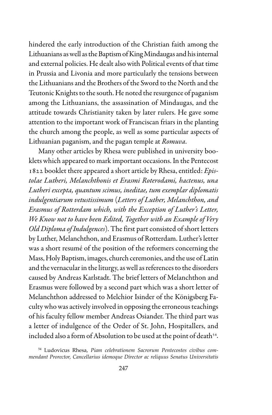hindered the early introduction of the Christian faith among the Lithuanians as well as the Baptism of King Mindaugas and his internal and external policies. He dealt also with Political events of that time in Prussia and Livonia and more particularly the tensions between the Lithuanians and the Brothers of the Sword to the North and the Teutonic Knights to the south. He noted the resurgence of paganism among the Lithuanians, the assassination of Mindaugas, and the attitude towards Christianity taken by later rulers. He gave some attention to the important work of Franciscan friars in the planting the church among the people, as well as some particular aspects of Lithuanian paganism, and the pagan temple at *Romuva*.

Many other articles by Rhesa were published in university booklets which appeared to mark important occasions. In the Pentecost 1822 booklet there appeared a short article by Rhesa, entitled: *Epistolae Lutheri, Melanchthonis et Erasmi Roterodami, hactenus, una Lutheri excepta, quantum scimus, ineditae, tum exemplar diplomatis indulgentiarum vetustissimum* (*Letters of Luther, Melanchthon, and Erasmus of Rotterdam which, with the Exception of Luther's Letter, We Know not to have been Edited, Together with an Example of Very Old Diploma of Indulgences*). The first part consisted of short letters by Luther, Melanchthon, and Erasmus of Rotterdam. Luther's letter was a short resumé of the position of the reformers concerning the Mass, Holy Baptism, images, church ceremonies, and the use of Latin and the vernacular in the liturgy, as well as references to the disorders caused by Andreas Karlstadt. The brief letters of Melanchthon and Erasmus were followed by a second part which was a short letter of Melanchthon addressed to Melchior Isinder of the Königsberg Faculty who was actively involved in opposing the erroneous teachings of his faculty fellow member Andreas Osiander. The third part was a letter of indulgence of the Order of St. John, Hospitallers, and included also a form of Absolution to be used at the point of death<sup>54</sup>.

<sup>54</sup> Ludovicus Rhesa, *Piam celebrationem Sacrorum Pentecostes civibus commendant Prorector, Cancellarius idemoque Director ac reliquus Senatus Universitatis*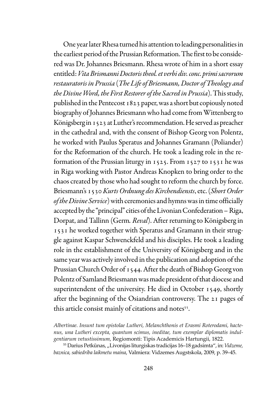One year later Rhesa turned his attention to leading personalities in the earliest period of the Prussian Reformation. The first to be considered was Dr. Johannes Briesmann. Rhesa wrote of him in a short essay entitled: *Vita Brismanni Doctoris theol. et verbi div. conc. primi sacrorum restauratoris in Prussia* (*The Life of Briesmann, Doctor of Theology and the Divine Word, the First Restorer of the Sacred in Prussia*). This study, published in the Pentecost 1823 paper, was a short but copiously noted biography of Johannes Briesmann who had come from Wittenberg to Königsberg in 1523 at Luther's recommendation. He served as preacher in the cathedral and, with the consent of Bishop Georg von Polentz, he worked with Paulus Speratus and Johannes Gramann (Poliander) for the Reformation of the church. He took a leading role in the reformation of the Prussian liturgy in 1525. From 1527 to 1531 he was in Riga working with Pastor Andreas Knopken to bring order to the chaos created by those who had sought to reform the church by force. Briesmann's 1530 *Kurts Ordnung des Kirchendiensts*, etc. (*Short Order of the Divine Service*) with ceremonies and hymns was in time officially accepted by the "principal" cities of the Livonian Confederation – Riga, Dorpat, and Tallinn (Germ*. Reval*). After returning to Königsberg in 1531 he worked together with Speratus and Gramann in their struggle against Kaspar Schwenckfeld and his disciples. He took a leading role in the establishment of the University of Königsberg and in the same year was actively involved in the publication and adoption of the Prussian Church Order of 1544. After the death of Bishop Georg von Polentz of Samland Briesmann was made president of that diocese and superintendent of the university. He died in October 1549, shortly after the beginning of the Osiandrian controversy. The 21 pages of this article consist mainly of citations and notes55.

*Albertinae. Insunt tum epistolae Lutheri, Melanchthonis et Erasmi Roterodami, hactenus, una Lutheri excepta, quantum scimus, ineditae, tum exemplar diplomatis indulgentiarum vetustissimum*, Regiomonti: Tipis Academicis Hartungii, 1822.

<sup>55</sup> Darius Petkūnas, "Livonijas liturgiskas tradicijas 16–18 gadsimta", in: *Vidzeme, baznica, sabiedriba laikmetu maina*, Valmiera: Vidzemes Augstskola, 2009, p. 39–45.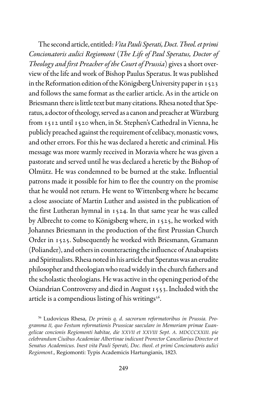The second article, entitled: *Vita Pauli Sperati, Doct. Theol. et primi Concionatoris aulici Regiomont* (*The Life of Paul Speratus, Doctor of Theology and first Preacher of the Court of Prussia*) gives a short overview of the life and work of Bishop Paulus Speratus. It was published in the Reformation edition of the Königsberg University paper in 1523 and follows the same format as the earlier article. As in the article on Briesmann there is little text but many citations. Rhesa noted that Speratus, a doctor of theology, served as a canon and preacher at Würzburg from 1512 until 1520 when, in St. Stephen's Cathedral in Vienna, he publicly preached against the requirement of celibacy, monastic vows, and other errors. For this he was declared a heretic and criminal. His message was more warmly received in Moravia where he was given a pastorate and served until he was declared a heretic by the Bishop of Olmütz. He was condemned to be burned at the stake. Influential patrons made it possible for him to flee the country on the promise that he would not return. He went to Wittenberg where he became a close associate of Martin Luther and assisted in the publication of the first Lutheran hymnal in 1524. In that same year he was called by Albrecht to come to Königsberg where, in 1525, he worked with Johannes Briesmann in the production of the first Prussian Church Order in 1525. Subsequently he worked with Briesmann, Gramann (Poliander), and others in counteracting the influence of Anabaptists and Spiritualists. Rhesa noted in his article that Speratus was an erudite philosopher and theologian who read widely in the church fathers and the scholastic theologians. He was active in the opening period of the Osiandrian Controversy and died in August 1553. Included with the article is a compendious listing of his writings<sup>56</sup>.

<sup>56</sup> Ludovicus Rhesa, *De primis q. d. sacrorum reformatoribus in Prussia. Programma II, quo Festum reformationis Prussicae saeculare in Memoriam primae Euangelicae concionis Regiomonti habitae, die XXVII et XXVIII Sept. A. MDCCCXXIII. pie celebrandum Ciuibus Academiae Albertinae indicunt Prorector Cancellarius Director et Senatus Academicus. Inest vita Pauli Sperati, Doc. theol. et primi Concionatoris aulici Regiomont.*, Regiomonti: Typis Academicis Hartungianis, 1823.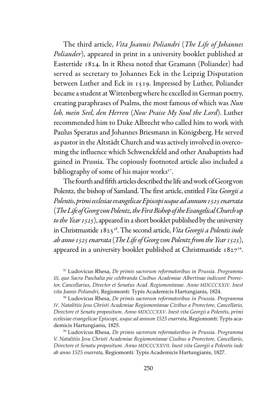The third article, *Vita Joannis Poliandri* (*The Life of Johannes Poliander*), appeared in print in a university booklet published at Eastertide 1824. In it Rhesa noted that Gramann (Poliander) had served as secretary to Johannes Eck in the Leipzig Disputation between Luther and Eck in 1519. Impressed by Luther, Poliander became a student at Wittenberg where he excelled in German poetry, creating paraphrases of Psalms, the most famous of which was *Nun lob, mein Seel, den Herren* (*Now Praise My Soul the Lord*). Luther recommended him to Duke Albrecht who called him to work with Paulus Speratus and Johannes Briesmann in Königsberg. He served as pastor in the Altstädt Church and was actively involved in overcoming the influence which Schwenckfeld and other Anabaptists had gained in Prussia. The copiously footnoted article also included a bibliography of some of his major works<sup>57</sup>.

The fourth and fifth articles described the life and work of Georg von Polentz, the bishop of Samland. The first article, entitled *Vita Georgii a Polentis, primi ecclesiae evangelicae Episcopi usque ad annum 1525 enarrata* (*The Life of Georg von Polentz, the First Bishop of the Evangelical Church up to the Year 1525*), appeared in a short booklet published by the university in Christmastide 182558. The second article, *Vita Georgii a Polentis inde ab anno 1525 enarrata* (*The Life of Georg von Polentz from the Year 1525*), appeared in a university booklet published at Christmastide 1827<sup>59</sup>.

<sup>57</sup> Ludovicus Rhesa, *De primis sacrorum reformatoribus in Prussia. Programma III, quo Sacra Paschalia pie celebranda Ciuibus Academiae Albertinae indicunt Prorec*tor, Cancellarius, Director et Senatus Acad. Regiomontanae. Anno MDCCCXXIV. Inest *vita Joanis Poliandri*, Regiomonti: Typis Academicis Hartungianis, 1824. 58 Ludovicus Rhesa, *De primis sacrorum reformatoribus in Prussia. Programma* 

*IV, Natalitiis Jesu Christi Academiae Regiomontanae Civibus a Prorectore, Cancellario, Directore et Senatu propositum. Anno MDCCCXXV. Inest vita Georgii a Polentis, primi ecelesiae evangelicae Episcopi, usque ad annum 1525 enarrata*, Regiomonti: Typis academicis Hartungianis, 1825.

<sup>59</sup> Ludovicus Rhesa, *De primis sacrorum reformatoribus in Prussia. Programma V. Natalitiis Jesu Christi Academiae Regiomontanae Ciuibus a Prorectore, Cancellario, Directore et Senatu propositum. Anno MDCCCXXVII. Inest vita Georgii a Polentis inde ab anno 1525 enarrata*, Regiomonti: Typis Academicis Hartungianis, 1827.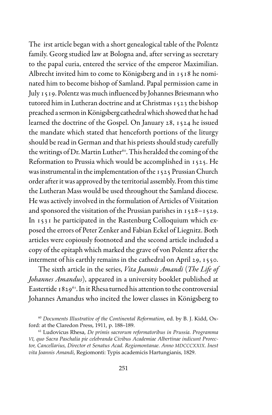The irst article began with a short genealogical table of the Polentz family. Georg studied law at Bologna and, after serving as secretary to the papal curia, entered the service of the emperor Maximilian. Albrecht invited him to come to Königsberg and in 1518 he nominated him to become bishop of Samland. Papal permission came in July 1519. Polentz was much influenced by Johannes Briesmann who tutored him in Lutheran doctrine and at Christmas 1523 the bishop preached a sermon in Königsberg cathedral which showed that he had learned the doctrine of the Gospel. On January 28, 1524 he issued the mandate which stated that henceforth portions of the liturgy should be read in German and that his priests should study carefully the writings of Dr. Martin Luther<sup>60</sup>. This heralded the coming of the Reformation to Prussia which would be accomplished in 1525. He was instrumental in the implementation of the 1525 Prussian Church order after it was approved by the territorial assembly. From this time the Lutheran Mass would be used throughout the Samland diocese. He was actively involved in the formulation of Articles of Visitation and sponsored the visitation of the Prussian parishes in 1528–1529. In 1531 he participated in the Rastenburg Colloquium which exposed the errors of Peter Zenker and Fabian Eckel of Liegnitz. Both articles were copiously footnoted and the second article included a copy of the epitaph which marked the grave of von Polentz after the interment of his earthly remains in the cathedral on April 29, 1550.

The sixth article in the series, *Vita Joannis Amandi* (*The Life of Johannes Amandus*), appeared in a university booklet published at Eastertide 1829 $^{61}$ . In it Rhesa turned his attention to the controversial Johannes Amandus who incited the lower classes in Königsberg to

<sup>60</sup> *Documents Illustrative of the Continental Reformation*, ed. by B. J. Kidd, Oxford: at the Claredon Press, 1911, p. 188–189.

<sup>61</sup> Ludovicus Rhesa, *De primis sacrorum reformatoribus in Prussia. Programma VI, quo Sacra Paschalia pie celebranda Civibus Academiae Albertinae indicunt Prorector, Cancellarius, Director et Senatus Acad. Regiomontanae. Anno MDCCCXXIX. Inest vita Joannis Amandi*, Regiomonti: Typis academicis Hartungianis, 1829.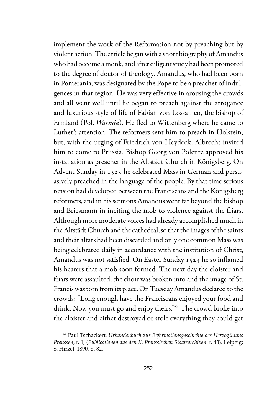implement the work of the Reformation not by preaching but by violent action. The article began with a short biography of Amandus who had become a monk, and after diligent study had been promoted to the degree of doctor of theology. Amandus, who had been born in Pomerania, was designated by the Pope to be a preacher of indulgences in that region. He was very effective in arousing the crowds and all went well until he began to preach against the arrogance and luxurious style of life of Fabian von Lossainen, the bishop of Ermland (Pol. *Warmia*). He fled to Wittenberg where he came to Luther's attention. The reformers sent him to preach in Holstein, but, with the urging of Friedrich von Heydeck, Albrecht invited him to come to Prussia. Bishop Georg von Polentz approved his installation as preacher in the Altstädt Church in Königsberg. On Advent Sunday in 1523 he celebrated Mass in German and persuasively preached in the language of the people. By that time serious tension had developed between the Franciscans and the Königsberg reformers, and in his sermons Amandus went far beyond the bishop and Briesmann in inciting the mob to violence against the friars. Although more moderate voices had already accomplished much in the Altstädt Church and the cathedral, so that the images of the saints and their altars had been discarded and only one common Mass was being celebrated daily in accordance with the institution of Christ, Amandus was not satisfied. On Easter Sunday 1524 he so inflamed his hearers that a mob soon formed. The next day the cloister and friars were assaulted, the choir was broken into and the image of St. Francis was torn from its place. On Tuesday Amandus declared to the crowds: "Long enough have the Franciscans enjoyed your food and drink. Now you must go and enjoy theirs."<sup>62</sup> The crowd broke into the cloister and either destroyed or stole everything they could get

<sup>62</sup> Paul Tschackert, *Urkundenbuch zur Reformationsgeschichte des Herzogthums Preussen*, t. 1, (*Publicationen aus den K. Preussischen Staatsarchiven*. t. 43), Leipzig: S. Hirzel, 1890, p. 82.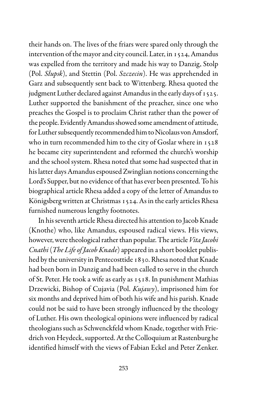their hands on. The lives of the friars were spared only through the intervention of the mayor and city council. Later, in 1524, Amandus was expelled from the territory and made his way to Danzig, Stolp (Pol. *Słupsk*), and Stettin (Pol. *Szczecin*). He was apprehended in Garz and subsequently sent back to Wittenberg. Rhesa quoted the judgment Luther declared against Amandus in the early days of 1525. Luther supported the banishment of the preacher, since one who preaches the Gospel is to proclaim Christ rather than the power of the people. Evidently Amandus showed some amendment of attitude, for Luther subsequently recommended him to Nicolaus von Amsdorf, who in turn recommended him to the city of Goslar where in 1528 he became city superintendent and reformed the church's worship and the school system. Rhesa noted that some had suspected that in his latter days Amandus espoused Zwinglian notions concerning the Lord's Supper, but no evidence of that has ever been presented. To his biographical article Rhesa added a copy of the letter of Amandus to Königsberg written at Christmas 1524. As in the early articles Rhesa furnished numerous lengthy footnotes.

In his seventh article Rhesa directed his attention to Jacob Knade (Knothe) who, like Amandus, espoused radical views. His views, however, were theological rather than popular. The article *Vita Jacobi Cnathi* (*The Life of Jacob Knade*) appeared in a short booklet published by the university in Pentecosttide 1830. Rhesa noted that Knade had been born in Danzig and had been called to serve in the church of St. Peter. He took a wife as early as 1518. In punishment Mathias Drzewicki, Bishop of Cujavia (Pol. *Kujawy*), imprisoned him for six months and deprived him of both his wife and his parish. Knade could not be said to have been strongly influenced by the theology of Luther. His own theological opinions were influenced by radical theologians such as Schwenckfeld whom Knade, together with Friedrich von Heydeck, supported. At the Colloquium at Rastenburg he identified himself with the views of Fabian Eckel and Peter Zenker.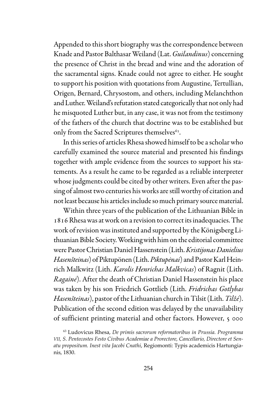Appended to this short biography was the correspondence between Knade and Pastor Balthasar Weiland (Lat. *Guilandinus*) concerning the presence of Christ in the bread and wine and the adoration of the sacramental signs. Knade could not agree to either. He sought to support his position with quotations from Augustine, Tertullian, Origen, Bernard, Chrysostom, and others, including Melanchthon and Luther. Weiland's refutation stated categorically that not only had he misquoted Luther but, in any case, it was not from the testimony of the fathers of the church that doctrine was to be established but only from the Sacred Scriptures themselves<sup>63</sup>.

In this series of articles Rhesa showed himself to be a scholar who carefully examined the source material and presented his findings together with ample evidence from the sources to support his statements. As a result he came to be regarded as a reliable interpreter whose judgments could be cited by other writers. Even after the passing of almost two centuries his works are still worthy of citation and not least because his articles include so much primary source material.

Within three years of the publication of the Lithuanian Bible in 1816 Rhesa was at work on a revision to correct its inadequacies. The work of revision was instituted and supported by the Königsberg Lithuanian Bible Society. Working with him on the editorial committee were Pastor Christian Daniel Hassenstein (Lith. *Kristijonas Danielius Hasenšteinas*) of Piktupönen (Lith. *Piktupėnai*) and Pastor Karl Heinrich Malkwitz (Lith. *Karolis Henrichas Malkvicas*) of Ragnit (Lith. *Ragainė*). After the death of Christian Daniel Hassenstein his place was taken by his son Friedrich Gottlieb (Lith. *Fridrichas Gotlybas Hasenšteinas*), pastor of the Lithuanian church in Tilsit (Lith. *Tilžė*). Publication of the second edition was delayed by the unavailability of sufficient printing material and other factors. However, 5 000

<sup>63</sup> Ludovicus Rhesa, *De primis sacrorum reformatoribus in Prussia. Programma VII, S. Pentecostes Festo Civibus Academiae a Prorectore, Cancellario, Directore et Senatu propositum. Inest vita Jacobi Cnathi*, Regiomonti: Typis academicis Hartungianis, 1830.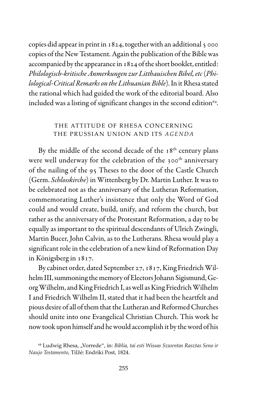copies did appear in print in 1824, together with an additional 5 000 copies of the New Testament. Again the publication of the Bible was accompanied by the appearance in 1824 of the short booklet, entitled: *Philologisch-kritische Anmerkungen zur Litthauischen Bibel, etc* (*Philological-Critical Remarks on the Lithuanian Bible*). In it Rhesa stated the rational which had guided the work of the editorial board. Also included was a listing of significant changes in the second edition<sup>64</sup>.

### THE ATTITUDE OF RHESA CONCERNING THE PRUSSIAN UNION AND ITS *AGENDA*

By the middle of the second decade of the  $18<sup>th</sup>$  century plans were well underway for the celebration of the 300<sup>th</sup> anniversary of the nailing of the 95 Theses to the door of the Castle Church (Germ. *Schlosskirche*) in Wittenberg by Dr. Martin Luther. It was to be celebrated not as the anniversary of the Lutheran Reformation, commemorating Luther's insistence that only the Word of God could and would create, build, unify, and reform the church, but rather as the anniversary of the Protestant Reformation, a day to be equally as important to the spiritual descendants of Ulrich Zwingli, Martin Bucer, John Calvin, as to the Lutherans. Rhesa would play a significant role in the celebration of a new kind of Reformation Day in Königsberg in 1817.

By cabinet order, dated September 27, 1817, King Friedrich Wilhelm III, summoning the memory of Electors Johann Sigismund, Georg Wilhelm, and King Friedrich I, as well as King Friedrich Wilhelm I and Friedrich Wilhelm II, stated that it had been the heartfelt and pious desire of all of them that the Lutheran and Reformed Churches should unite into one Evangelical Christian Church. This work he now took upon himself and he would accomplish it by the word of his

<sup>&</sup>lt;sup>64</sup> Ludwig Rhesa, "Vorrede", in: *Biblia, tai esti Wissas Szwentas Rasztas Seno ir Naujo Testamento*, Tilžė: Endriki Post, 1824.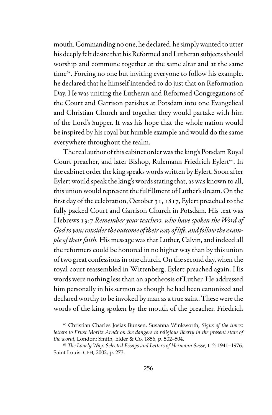mouth. Commanding no one, he declared, he simply wanted to utter his deeply felt desire that his Reformed and Lutheran subjects should worship and commune together at the same altar and at the same time<sup>65</sup>. Forcing no one but inviting everyone to follow his example, he declared that he himself intended to do just that on Reformation Day. He was uniting the Lutheran and Reformed Congregations of the Court and Garrison parishes at Potsdam into one Evangelical and Christian Church and together they would partake with him of the Lord's Supper. It was his hope that the whole nation would be inspired by his royal but humble example and would do the same everywhere throughout the realm.

The real author of this cabinet order was the king's Potsdam Royal Court preacher, and later Bishop, Rulemann Friedrich Eylert<sup>66</sup>. In the cabinet order the king speaks words written by Eylert. Soon after Eylert would speak the king's words stating that, as was known to all, this union would represent the fulfillment of Luther's dream. On the first day of the celebration, October 31, 1817, Eylert preached to the fully packed Court and Garrison Church in Potsdam. His text was Hebrews 13:7 *Remember your teachers, who have spoken the Word of God to you; consider the outcome of their way of life, and follow the example of their faith.* His message was that Luther, Calvin, and indeed all the reformers could be honored in no higher way than by this union of two great confessions in one church. On the second day, when the royal court reassembled in Wittenberg, Eylert preached again. His words were nothing less than an apotheosis of Luther. He addressed him personally in his sermon as though he had been canonized and declared worthy to be invoked by man as a true saint. These were the words of the king spoken by the mouth of the preacher. Friedrich

<sup>65</sup> Christian Charles Josias Bunsen, Susanna Winkworth, *Signs of the times: letters to Ernst Moritz Arndt on the dangers to religious liberty in the present state of the world*, London: Smith, Elder & Co, 1856, p. 502–504.

<sup>66</sup> *The Lonely Way: Selected Essays and Letters of Hermann Sasse*, t. 2: 1941–1976, Saint Louis: CPH, 2002, p. 273.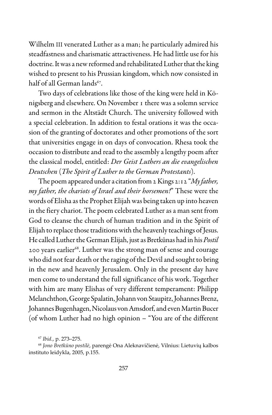Wilhelm III venerated Luther as a man; he particularly admired his steadfastness and charismatic attractiveness. He had little use for his doctrine. It was a new reformed and rehabilitated Luther that the king wished to present to his Prussian kingdom, which now consisted in half of all German lands<sup>67</sup>.

Two days of celebrations like those of the king were held in Königsberg and elsewhere. On November 1 there was a solemn service and sermon in the Altstädt Church. The university followed with a special celebration. In addition to festal orations it was the occasion of the granting of doctorates and other promotions of the sort that universities engage in on days of convocation. Rhesa took the occasion to distribute and read to the assembly a lengthy poem after the classical model, entitled: *Der Geist Luthers an die evangelischen Deutschen* (*The Spirit of Luther to the German Protestants*).

The poem appeared under a citation from 2 Kings 2:12 "*My father, my father, the chariots of Israel and their horsemen!*" These were the words of Elisha as the Prophet Elijah was being taken up into heaven in the fiery chariot. The poem celebrated Luther as a man sent from God to cleanse the church of human tradition and in the Spirit of Elijah to replace those traditions with the heavenly teachings of Jesus. He called Luther the German Elijah, just as Bretkūnas had in his *Postil* 200 years earlier<sup>68</sup>. Luther was the strong man of sense and courage who did not fear death or the raging of the Devil and sought to bring in the new and heavenly Jerusalem. Only in the present day have men come to understand the full significance of his work. Together with him are many Elishas of very different temperament: Philipp Melanchthon, George Spalatin, Johann von Staupitz, Johannes Brenz, Johannes Bugenhagen, Nicolaus von Amsdorf, and even Martin Bucer (of whom Luther had no high opinion – "You are of the different

<sup>67</sup> *Ibid.*, p. 273–275.

<sup>68</sup> *Jono Bretkūno postilė*, parengė Ona Aleknavičienė, Vilnius: Lietuvių kalbos instituto leidykla, 2005, p.155.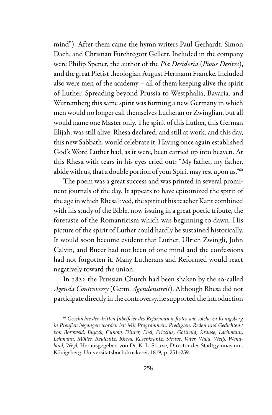mind"). After them came the hymn writers Paul Gerhardt, Simon Dach, and Christian Fürchtegott Gellert. Included in the company were Philip Spener, the author of the *Pia Desideria* (*Pious Desires*), and the great Pietist theologian August Hermann Francke. Included also were men of the academy – all of them keeping alive the spirit of Luther. Spreading beyond Prussia to Westphalia, Bavaria, and Würtemberg this same spirit was forming a new Germany in which men would no longer call themselves Lutheran or Zwinglian, but all would name one Master only. The spirit of this Luther, this German Elijah, was still alive, Rhesa declared, and still at work, and this day, this new Sabbath, would celebrate it. Having once again established God's Word Luther had, as it were, been carried up into heaven. At this Rhesa with tears in his eyes cried out: "My father, my father, abide with us, that a double portion of your Spirit may rest upon us."<sup>69</sup>

The poem was a great success and was printed in several prominent journals of the day. It appears to have epitomized the spirit of the age in which Rhesa lived, the spirit of his teacher Kant combined with his study of the Bible, now issuing in a great poetic tribute, the foretaste of the Romanticism which was beginning to dawn. His picture of the spirit of Luther could hardly be sustained historically. It would soon become evident that Luther, Ulrich Zwingli, John Calvin, and Bucer had not been of one mind and the confessions had not forgotten it. Many Lutherans and Reformed would react negatively toward the union.

In 1822 the Prussian Church had been shaken by the so-called *Agenda Controversy* (Germ. *Agendenstreit*). Although Rhesa did not participate directly in the controversy, he supported the introduction

<sup>69</sup> *Geschichte der dritten Jubelfeier des Reformationsfestes wie solche zu Königsberg in Preußen begangen worden ist: Mit Programmen, Predigten, Reden und Gedichten / von Borowski, Bujack, Cunow, Dinter, Ebel, Friccius, Gotthold, Krause, Lachmann, Lehmann, Möller, Reidenitz, Rhesa, Rosenkrantz, Struve, Vater, Wald, Weiß, Wendland, Weyl*, Herausgegeben von Dr. K. L. Struve, Director des Stadtgymnasium, Königsberg: Universitätsbuchdruckerei, 1819, p. 251–259.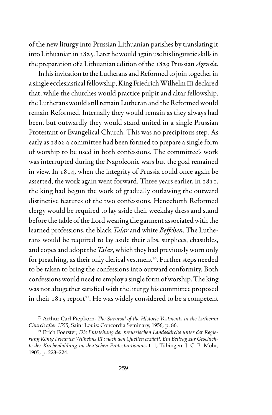of the new liturgy into Prussian Lithuanian parishes by translating it into Lithuanian in 1825. Later he would again use his linguistic skills in the preparation of a Lithuanian edition of the 1829 Prussian *Agenda*.

In his invitation to the Lutherans and Reformed to join together in a single ecclesiastical fellowship, King Friedrich Wilhelm III declared that, while the churches would practice pulpit and altar fellowship, the Lutherans would still remain Lutheran and the Reformed would remain Reformed. Internally they would remain as they always had been, but outwardly they would stand united in a single Prussian Protestant or Evangelical Church. This was no precipitous step. As early as 1802 a committee had been formed to prepare a single form of worship to be used in both confessions. The committee's work was interrupted during the Napoleonic wars but the goal remained in view. In 1814, when the integrity of Prussia could once again be asserted, the work again went forward. Three years earlier, in 1811, the king had begun the work of gradually outlawing the outward distinctive features of the two confessions. Henceforth Reformed clergy would be required to lay aside their weekday dress and stand before the table of the Lord wearing the garment associated with the learned professions, the black *Talar* and white *Beffchen*. The Lutherans would be required to lay aside their albs, surplices, chasubles, and copes and adopt the *Talar*, which they had previously worn only for preaching, as their only clerical vestment<sup>70</sup>. Further steps needed to be taken to bring the confessions into outward conformity. Both confessions would need to employ a single form of worship. The king was not altogether satisfied with the liturgy his committee proposed in their  $1815$  report<sup>71</sup>. He was widely considered to be a competent

<sup>70</sup> Arthur Carl Piepkorn, *The Survival of the Historic Vestments in the Lutheran Church after 1555*, Saint Louis: Concordia Seminary, 1956, p. 86.

<sup>71</sup> Erich Foerster, *Die Entstehung der preussischen Landeskirche unter der Regierung König Friedrich Wilhelms III.: nach den Quellen erzählt. Ein Beitrag zur Geschichte der Kirchenbildung im deutschen Protestantismus*, t. 1, Tübingen: J. C. B. Mohr, 1905, p. 223–224.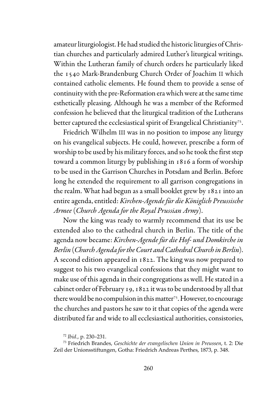amateur liturgiologist. He had studied the historic liturgies of Christian churches and particularly admired Luther's liturgical writings. Within the Lutheran family of church orders he particularly liked the 1540 Mark-Brandenburg Church Order of Joachim II which contained catholic elements. He found them to provide a sense of continuity with the pre-Reformation era which were at the same time esthetically pleasing. Although he was a member of the Reformed confession he believed that the liturgical tradition of the Lutherans better captured the ecclesiastical spirit of Evangelical Christianity<sup>72</sup>.

Friedrich Wilhelm III was in no position to impose any liturgy on his evangelical subjects. He could, however, prescribe a form of worship to be used by his military forces, and so he took the first step toward a common liturgy by publishing in 1816 a form of worship to be used in the Garrison Churches in Potsdam and Berlin. Before long he extended the requirement to all garrison congregations in the realm. What had begun as a small booklet grew by 1821 into an entire agenda, entitled: *Kirchen-Agende für die Königlich Preussische Armee* (*Church Agenda for the Royal Prussian Army*).

Now the king was ready to warmly recommend that its use be extended also to the cathedral church in Berlin. The title of the agenda now became: *Kirchen-Agende für die Hof- und Domkirche in Berlin* (*Church Agenda for the Court and Cathedral Church in Berlin*). A second edition appeared in 1822. The king was now prepared to suggest to his two evangelical confessions that they might want to make use of this agenda in their congregations as well. He stated in a cabinet order of February 19, 1822 it was to be understood by all that there would be no compulsion in this matter<sup>73</sup>. However, to encourage the churches and pastors he saw to it that copies of the agenda were distributed far and wide to all ecclesiastical authorities, consistories,

<sup>72</sup> *Ibid.*, p. 230–231.

<sup>73</sup> Friedrich Brandes, *Geschichte der evangelischen Union in Preussen*, t. 2: Die Zeil der Unionsstiftungen, Gotha: Friedrich Andreas Perthes, 1873, p. 348.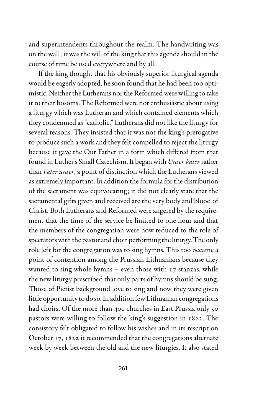and superintendents throughout the realm. The handwriting was on the wall; it was the will of the king that this agenda should in the course of time be used everywhere and by all.

If the king thought that his obviously superior liturgical agenda would be eagerly adopted, he soon found that he had been too optimistic. Neither the Lutherans nor the Reformed were willing to take it to their bosoms. The Reformed were not enthusiastic about using a liturgy which was Lutheran and which contained elements which they condemned as "catholic." Lutherans did not like the liturgy for several reasons. They insisted that it was not the king's prerogative to produce such a work and they felt compelled to reject the liturgy because it gave the Our Father in a form which differed from that found in Luther's Small Catechism. It began with *Unser Vater* rather than *Vater unser*, a point of distinction which the Lutherans viewed as extremely important. In addition the formula for the distribution of the sacrament was equivocating; it did not clearly state that the sacramental gifts given and received are the very body and blood of Christ. Both Lutherans and Reformed were angered by the requirement that the time of the service be limited to one hour and that the members of the congregation were now reduced to the role of spectators with the pastor and choir performing the liturgy. The only role left for the congregation was to sing hymns. This too became a point of contention among the Prussian Lithuanians because they wanted to sing whole hymns – even those with 17 stanzas, while the new liturgy prescribed that only parts of hymns should be sung. Those of Pietist background love to sing and now they were given little opportunity to do so. In addition few Lithuanian congregations had choirs. Of the more than 400 churches in East Prussia only 50 pastors were willing to follow the king's suggestion in 1822. The consistory felt obligated to follow his wishes and in its rescript on October 17, 1822 it recommended that the congregations alternate week by week between the old and the new liturgies. It also stated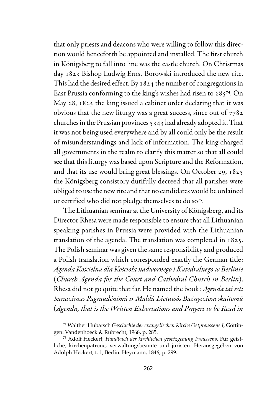that only priests and deacons who were willing to follow this direction would henceforth be appointed and installed. The first church in Königsberg to fall into line was the castle church. On Christmas day 1823 Bishop Ludwig Ernst Borowski introduced the new rite. This had the desired effect. By 1824 the number of congregations in East Prussia conforming to the king's wishes had risen to 28574. On May 28, 1825 the king issued a cabinet order declaring that it was obvious that the new liturgy was a great success, since out of 7782 churches in the Prussian provinces 5343 had already adopted it. That it was not being used everywhere and by all could only be the result of misunderstandings and lack of information. The king charged all governments in the realm to clarify this matter so that all could see that this liturgy was based upon Scripture and the Reformation, and that its use would bring great blessings. On October 29, 1825 the Königsberg consistory dutifully decreed that all parishes were obliged to use the new rite and that no candidates would be ordained or certified who did not pledge themselves to do so<sup>75</sup>.

The Lithuanian seminar at the University of Königsberg, and its Director Rhesa were made responsible to ensure that all Lithuanian speaking parishes in Prussia were provided with the Lithuanian translation of the agenda. The translation was completed in 1825. The Polish seminar was given the same responsibility and produced a Polish translation which corresponded exactly the German title: *Agenda Kościelna dla Kościoła nadwornego i Katedralnego w Berlinie* (*Church Agenda for the Court and Cathedral Church in Berlin*). Rhesa did not go quite that far. He named the book: *Agenda tai esti Suraszimas Pagraudénimû ir Maldû Lietuwôs Baźnycziosa skaitomû* (*Agenda, that is the Written Exhortations and Prayers to be Read in* 

<sup>74</sup> Walther Hubatsch *Geschichte der evangelischen Kirche Ostpreussens I*, Göttingen: Vandenhoeck & Rubrecht, 1968, p. 285.

<sup>75</sup> Adolf Heckert, *Handbuch der kirchlichen gesetzgebung Preussens*. Für geistliche, kirchenpatrone, verwaltungsbeamte und juristen. Herausgegeben von Adolph Heckert, t. 1, Berlin: Heymann, 1846, p. 299.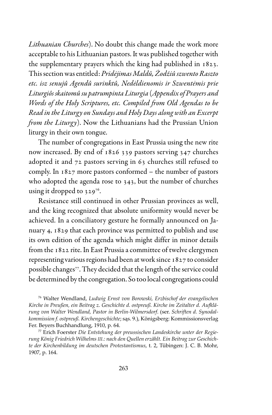*Lithuanian Churches*). No doubt this change made the work more acceptable to his Lithuanian pastors. It was published together with the supplementary prayers which the king had published in 1823. This section was entitled: *Pridėjimas Maldû, Żodźiû szwento Raszto etc. isz senujû Agendû surinktû, Nedėldienomis ir Szwentėmis prie Liturgiôs skaitomû su patrumpinta Liturgia* (*Appendix of Prayers and Words of the Holy Scriptures, etc. Compiled from Old Agendas to be Read in the Liturgy on Sundays and Holy Days along with an Excerpt from the Liturgy*). Now the Lithuanians had the Prussian Union liturgy in their own tongue.

The number of congregations in East Prussia using the new rite now increased. By end of 1826 339 pastors serving 347 churches adopted it and 72 pastors serving in 63 churches still refused to comply. In 1827 more pastors conformed – the number of pastors who adopted the agenda rose to 343, but the number of churches using it dropped to 329<sup>76</sup>.

Resistance still continued in other Prussian provinces as well, and the king recognized that absolute uniformity would never be achieved. In a conciliatory gesture he formally announced on January 4, 1829 that each province was permitted to publish and use its own edition of the agenda which might differ in minor details from the 1822 rite. In East Prussia a committee of twelve clergymen representing various regions had been at work since 1827 to consider possible changes<sup>77</sup>. They decided that the length of the service could be determined by the congregation. So too local congregations could

<sup>76</sup> Walter Wendland, *Ludwig Ernst von Borowski, Erzbischof der evangelischen Kirche in Preußen, ein Beitrag z. Geschichte d. ostpreuß. Kirche im Zeitalter d. Aufklärung von Walter Wendland, Pastor in Berlin-Wilmersdorf*. (ser. *Schriften d. Synodalkommission f. ostpreuß. Kirchengeschichte*; sąs. 9.), Königsberg: Kommissionsverlag Fer. Beyers Buchhandlung, 1910, p. 64.

<sup>77</sup> Erich Foerster *Die Entstehung der preussischen Landeskirche unter der Regierung König Friedrich Wilhelms III.: nach den Quellen erzählt. Ein Beitrag zur Geschichte der Kirchenbildung im deutschen Protestantismus*, t. 2, Tübingen: J. C. B. Mohr, 1907, p. 164.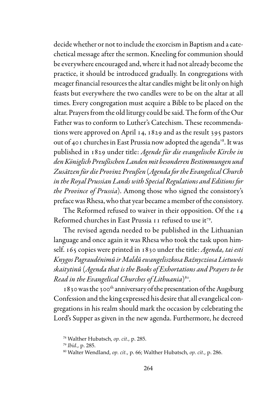decide whether or not to include the exorcism in Baptism and a catechetical message after the sermon. Kneeling for communion should be everywhere encouraged and, where it had not already become the practice, it should be introduced gradually. In congregations with meager financial resources the altar candles might be lit only on high feasts but everywhere the two candles were to be on the altar at all times. Every congregation must acquire a Bible to be placed on the altar. Prayers from the old liturgy could be said. The form of the Our Father was to conform to Luther's Catechism. These recommendations were approved on April 14, 1829 and as the result 395 pastors out of 401 churches in East Prussia now adopted the agenda<sup>78</sup>. It was published in 1829 under title: *Agende für die evangelische Kirche in den Königlich Preußischen Landen mit besonderen Bestimmungen und Zusätzen für die Provinz Preußen* (*Agenda for the Evangelical Church in the Royal Prussian Lands with Special Regulations and Editions for the Province of Prussia*). Among those who signed the consistory's preface was Rhesa, who that year became a member of the consistory.

The Reformed refused to waiver in their opposition. Of the 14 Reformed churches in East Prussia 11 refused to use it79.

The revised agenda needed to be published in the Lithuanian language and once again it was Rhesa who took the task upon himself. 165 copies were printed in 1830 under the title: *Agenda, tai esti Knygos Pagraudénimû ir Maldû ewangeliszkosa Baźnycziosa Lietuwôs skaitytinû* (*Agenda that is the Books of Exhortations and Prayers to be Read in the Evangelical Churches of Lithuania*)80.

1830 was the 300<sup>th</sup> anniversary of the presentation of the Augsburg Confession and the king expressed his desire that all evangelical congregations in his realm should mark the occasion by celebrating the Lord's Supper as given in the new agenda. Furthermore, he decreed

<sup>78</sup> Walther Hubatsch, *op. cit.*, p. 285.

<sup>79</sup> *Ibid.*, p. 285.

<sup>80</sup> Walter Wendland, *op. cit.*, p. 66; Walther Hubatsch, *op. cit.*, p. 286.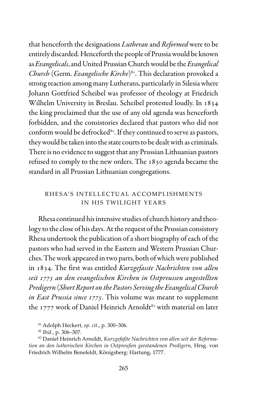that henceforth the designations *Lutheran* and *Reformed* were to be entirely discarded. Henceforth the people of Prussia would be known as *Evangelicals*, and United Prussian Church would be the *Evangelical Church* (Germ. *Evangelische Kirche*)81. This declaration provoked a strong reaction among many Lutherans, particularly in Silesia where Johann Gottfried Scheibel was professor of theology at Friedrich Wilhelm University in Breslau. Scheibel protested loudly. In 1834 the king proclaimed that the use of any old agenda was henceforth forbidden, and the consistories declared that pastors who did not conform would be defrocked<sup>82</sup>. If they continued to serve as pastors, they would be taken into the state courts to be dealt with as criminals. There is no evidence to suggest that any Prussian Lithuanian pastors refused to comply to the new orders. The 1830 agenda became the standard in all Prussian Lithuanian congregations.

#### RHE SA'S INTELLE CTUAL ACCOMPLISHMENTS IN HIS TWILIGHT YEARS

Rhesa continued his intensive studies of church history and theology to the close of his days. At the request of the Prussian consistory Rhesa undertook the publication of a short biography of each of the pastors who had served in the Eastern and Western Prussian Churches. The work appeared in two parts, both of which were published in 1834. The first was entitled *Kurzgefasste Nachrichten von allen seit 1775 an den evangelischen Kirchen in Ostpreussen angestellten Predigern* (*Short Report on the Pastors Serving the Evangelical Church in East Prussia since 1775*. This volume was meant to supplement the 1777 work of Daniel Heinrich Arnoldt<sup>83</sup> with material on later

<sup>81</sup> Adolph Heckert, *op. cit.*, p. 300–306.

<sup>82</sup> *Ibid.*, p. 306–307.

<sup>83</sup> Daniel Heinrich Arnoldt, *Kurzgefaßte Nachrichten von allen seit der Reformation an den lutherischen Kirchen in Ostpreußen geestandenen Predigern*, Hrsg. von Friedrich Wilhelm Benefeldt, Königsberg: Hartung, 1777.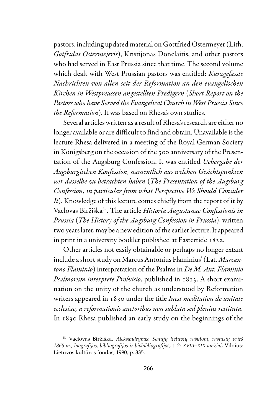pastors, including updated material on Gottfried Ostermeyer (Lith. *Gotfridas Ostermejeris*), Kristijonas Donelaitis, and other pastors who had served in East Prussia since that time. The second volume which dealt with West Prussian pastors was entitled: *Kurzgefasste Nachrichten von allen seit der Reformation an den evangelischen Kirchen in Westpreussen angestellten Predigern* (*Short Report on the Pastors who have Served the Evangelical Church in West Prussia Since the Reformation*). It was based on Rhesa's own studies.

Several articles written as a result of Rhesa's research are either no longer available or are difficult to find and obtain. Unavailable is the lecture Rhesa delivered in a meeting of the Royal German Society in Königsberg on the occasion of the 300 anniversary of the Presentation of the Augsburg Confession. It was entitled *Uebergabe der Augsburgischen Konfession, namentlich aus welchen Gesichtspunkten wir dasselbe zu betrachten haben* (*The Presentation of the Augsburg Confession, in particular from what Perspective We Should Consider It*). Knowledge of this lecture comes chiefly from the report of it by Vaclovas Biržiška84. The article *Historia Augustanae Confessionis in Prussia* (*The History of the Augsburg Confession in Prussia*), written two years later, may be a new edition of the earlier lecture. It appeared in print in a university booklet published at Eastertide 1832.

Other articles not easily obtainable or perhaps no longer extant include a short study on Marcus Antonius Flaminius' (Lat*. Marcantono Flaminio*) interpretation of the Psalms in *De M. Ant. Flaminio Psalmorum interprete Prolvisio*, published in 1813. A short examination on the unity of the church as understood by Reformation writers appeared in 1830 under the title *Inest meditation de unitate ecclesiae, a reformationis auctoribus non sublata sed plenius restituta.* In 1830 Rhesa published an early study on the beginnings of the

<sup>84</sup> Vaclovas Biržiška, *Aleksandrynas*: *Senųjų lietuvių rašytojų, rašiusių prieš 1865 m., biografijos, bibliografijos ir biobibliografijos*, t. 2: *XVIII–XIX amžiai*, Vilnius: Lietuvos kultūros fondas, 1990, p. 335.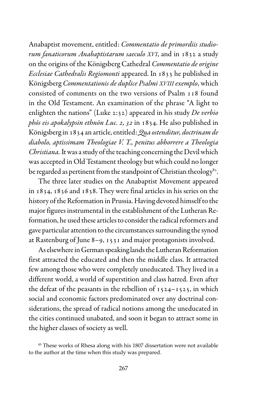Anabaptist movement, entitled: *Commentatio de primordiis studiorum fanaticorum Anabaptistarum saeculo XVI*, and in 1832 a study on the origins of the Königsberg Cathedral *Commentatio de origine Ecclesiae Cathedralis Regiomonti* appeared. In 1833 he published in Königsberg *Commentationis de duplice Psalmi XVIII exemplo*, which consisted of comments on the two versions of Psalm 118 found in the Old Testament. An examination of the phrase "A light to enlighten the nations" (Luke 2:32) appeared in his study *De verbio phōs eis apokalypsin ethnōn Luc. 2, 32* in 1834. He also published in Königsberg in 1834 an article, entitled: *Qua ostenditur, doctrinam de diabolo, aptissimam Theologiae V. T., penitus abhorrere a Theologia Christiana.* It was a study of the teaching concerning the Devil which was accepted in Old Testament theology but which could no longer be regarded as pertinent from the standpoint of Christian theology<sup>85</sup>.

The three later studies on the Anabaptist Movement appeared in 1834, 1836 and 1838. They were final articles in his series on the history of the Reformation in Prussia. Having devoted himself to the major figures instrumental in the establishment of the Lutheran Reformation, he used these articles to consider the radical reformers and gave particular attention to the circumstances surrounding the synod at Rastenburg of June 8–9, 1531 and major protagonists involved.

As elsewhere in German speaking lands the Lutheran Reformation first attracted the educated and then the middle class. It attracted few among those who were completely uneducated. They lived in a different world, a world of superstition and class hatred. Even after the defeat of the peasants in the rebellion of 1524–1525, in which social and economic factors predominated over any doctrinal considerations, the spread of radical notions among the uneducated in the cities continued unabated, and soon it began to attract some in the higher classes of society as well.

<sup>85</sup> These works of Rhesa along with his 1807 dissertation were not available to the author at the time when this study was prepared.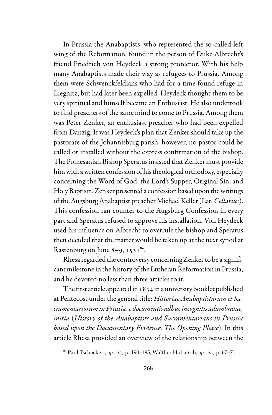In Prussia the Anabaptists, who represented the so-called left wing of the Reformation, found in the person of Duke Albrecht's friend Friedrich von Heydeck a strong protector. With his help many Anabaptists made their way as refugees to Prussia. Among them were Schwenckfeldians who had for a time found refuge in Liegnitz, but had later been expelled. Heydeck thought them to be very spiritual and himself became an Enthusiast. He also undertook to find preachers of the same mind to come to Prussia. Among them was Peter Zenker, an enthusiast preacher who had been expelled from Danzig. It was Heydeck's plan that Zenker should take up the pastorate of the Johannisburg parish, however, no pastor could be called or installed without the express confirmation of the bishop. The Pomesanian Bishop Speratus insisted that Zenker must provide him with a written confession of his theological orthodoxy, especially concerning the Word of God, the Lord's Supper, Original Sin, and Holy Baptism. Zenker presented a confession based upon the writings of the Augsburg Anabaptist preacher Michael Keller (Lat. *Cellarius*). This confession ran counter to the Augsburg Confession in every part and Speratus refused to approve his installation. Von Heydeck used his influence on Albrecht to overrule the bishop and Speratus then decided that the matter would be taken up at the next synod at Rastenburg on June 8-9,  $1531^{86}$ .

Rhesa regarded the controversy concerning Zenker to be a significant milestone in the history of the Lutheran Reformation in Prussia, and he devoted no less than three articles to it.

The first article appeared in 1834 in a university booklet published at Pentecost under the general title: *Historiae Anabaptistarum et Sacramentariorum in Prussia, e documentis adhuc incognitis adumbratae, initia* (*History of the Anabaptists and Sacramentarians in Prussia based upon the Documentary Evidence. The Opening Phase*). In this article Rhesa provided an overview of the relationship between the

<sup>86</sup> Paul Tschackert, *op. cit.*, p. 190–195; Walther Hubatsch, *op. cit.*, p. 67–71.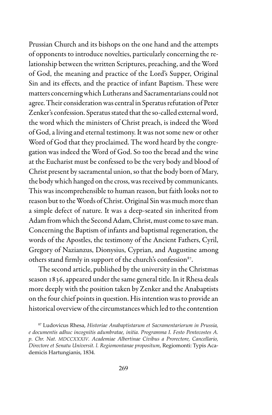Prussian Church and its bishops on the one hand and the attempts of opponents to introduce novelties, particularly concerning the relationship between the written Scriptures, preaching, and the Word of God, the meaning and practice of the Lord's Supper, Original Sin and its effects, and the practice of infant Baptism. These were matters concerning which Lutherans and Sacramentarians could not agree. Their consideration was central in Speratus refutation of Peter Zenker's confession. Speratus stated that the so-called external word, the word which the ministers of Christ preach, is indeed the Word of God, a living and eternal testimony. It was not some new or other Word of God that they proclaimed. The word heard by the congregation was indeed the Word of God. So too the bread and the wine at the Eucharist must be confessed to be the very body and blood of Christ present by sacramental union, so that the body born of Mary, the body which hanged on the cross, was received by communicants. This was incomprehensible to human reason, but faith looks not to reason but to the Words of Christ. Original Sin was much more than a simple defect of nature. It was a deep-seated sin inherited from Adam from which the Second Adam, Christ, must come to save man. Concerning the Baptism of infants and baptismal regeneration, the words of the Apostles, the testimony of the Ancient Fathers, Cyril, Gregory of Nazianzus, Dionysius, Cyprian, and Augustine among others stand firmly in support of the church's confession<sup>87</sup>.

The second article, published by the university in the Christmas season 1836, appeared under the same general title. In it Rhesa deals more deeply with the position taken by Zenker and the Anabaptists on the four chief points in question. His intention was to provide an historical overview of the circumstances which led to the contention

<sup>87</sup> Ludovicus Rhesa, *Historiae Anabaptistarum et Sacramentariorum in Prussia, e documentis adhuc incognitis adumbratae, initia. Programma I. Festo Pentecostes A. p. Chr. Nat. MDCCXXXIV. Academiae Albertinae Civibus a Prorectore, Cancellario, Directore et Senatu Universit. l. Regiomontanae propositum*, Regiomonti: Typis Academicis Hartungianis, 1834.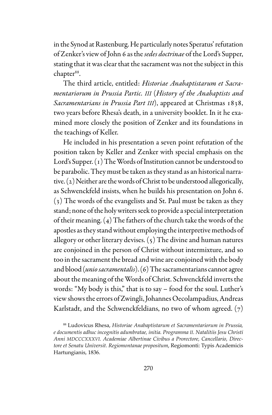in the Synod at Rastenburg. He particularly notes Speratus' refutation of Zenker's view of John 6 as the *sedes doctrinae* of the Lord's Supper, stating that it was clear that the sacrament was not the subject in this chapter<sup>88</sup>.

The third article, entitled: *Historiae Anabaptistarum et Sacramentariorum in Prussia Partic. III* (*History of the Anabaptists and Sacramentarians in Prussia Part III*), appeared at Christmas 1838, two years before Rhesa's death, in a university booklet. In it he examined more closely the position of Zenker and its foundations in the teachings of Keller.

He included in his presentation a seven point refutation of the position taken by Keller and Zenker with special emphasis on the Lord's Supper. (1) The Words of Institution cannot be understood to be parabolic. They must be taken as they stand as an historical narrative. (2) Neither are the words of Christ to be understood allegorically, as Schwenckfeld insists, when he builds his presentation on John 6. (3) The words of the evangelists and St. Paul must be taken as they stand; none of the holy writers seek to provide a special interpretation of their meaning. (4) The fathers of the church take the words of the apostles as they stand without employing the interpretive methods of allegory or other literary devises.  $(5)$  The divine and human natures are conjoined in the person of Christ without intermixture, and so too in the sacrament the bread and wine are conjoined with the body and blood (*unio sacramentalis*). (6) The sacramentarians cannot agree about the meaning of the Words of Christ. Schwenckfeld inverts the words: "My body is this," that is to say – food for the soul. Luther's view shows the errors of Zwingli, Johannes Oecolampadius, Andreas Karlstadt, and the Schwenckfeldians, no two of whom agreed. (7)

<sup>88</sup> Ludovicus Rhesa, *Historiae Anabaptistarum et Sacramentariorum in Prussia, e documentis adhuc incognitis adumbratae, initia. Programma II. Natalitiis Jesu Christi Anni MDCCCXXXVI. Academiae Albertinae Civibus a Prorectore, Cancellario, Directore et Senatu Universit. Regiomontanae propositum*, Regiomonti: Typis Academicis Hartungianis, 1836.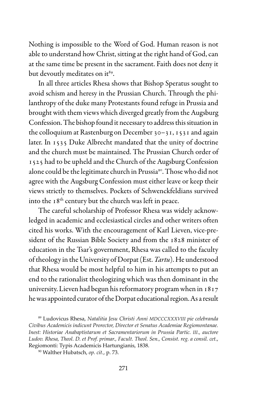Nothing is impossible to the Word of God. Human reason is not able to understand how Christ, sitting at the right hand of God, can at the same time be present in the sacrament. Faith does not deny it but devoutly meditates on it<sup>89</sup>.

In all three articles Rhesa shows that Bishop Speratus sought to avoid schism and heresy in the Prussian Church. Through the philanthropy of the duke many Protestants found refuge in Prussia and brought with them views which diverged greatly from the Augsburg Confession. The bishop found it necessary to address this situation in the colloquium at Rastenburg on December 30–31, 1531 and again later. In 1535 Duke Albrecht mandated that the unity of doctrine and the church must be maintained. The Prussian Church order of 1525 had to be upheld and the Church of the Augsburg Confession alone could be the legitimate church in Prussia<sup>90</sup>. Those who did not agree with the Augsburg Confession must either leave or keep their views strictly to themselves. Pockets of Schwenckfeldians survived into the 18<sup>th</sup> century but the church was left in peace.

The careful scholarship of Professor Rhesa was widely acknowledged in academic and ecclesiastical circles and other writers often cited his works. With the encouragement of Karl Lieven, vice-president of the Russian Bible Society and from the 1828 minister of education in the Tsar's government, Rhesa was called to the faculty of theology in the University of Dorpat (Est. *Tartu*). He understood that Rhesa would be most helpful to him in his attempts to put an end to the rationalist theologizing which was then dominant in the university. Lieven had begun his reformatory program when in 1817 he was appointed curator of the Dorpat educational region. As a result

<sup>89</sup> Ludovicus Rhesa, *Natalitia Jesu Christi Anni MDCCCXXXVIII pie celebranda Civibus Academicis indicunt Prorector, Director et Senatus Academiae Regiomontanae. Inest: Historiae Anabaptistarum et Sacramentariorum in Prussia Partic. III., auctore Ludov. Rhesa, Theol. D. et Prof. primar., Facult. Theol. Sen., Consist. reg. a consil. cet.*, Regiomonti: Typis Academicis Hartungianis, 1838.

<sup>90</sup> Walther Hubatsch, *op. cit.*, p. 73.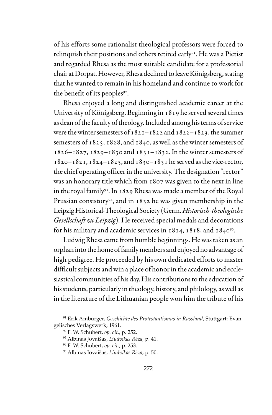of his efforts some rationalist theological professors were forced to relinquish their positions and others retired early<sup>91</sup>. He was a Pietist and regarded Rhesa as the most suitable candidate for a professorial chair at Dorpat. However, Rhesa declined to leave Königsberg, stating that he wanted to remain in his homeland and continue to work for the benefit of its peoples<sup>92</sup>.

Rhesa enjoyed a long and distinguished academic career at the University of Königsberg. Beginning in 1819 he served several times as dean of the faculty of theology. Included among his terms of service were the winter semesters of 1821–1822 and 1822–1823, the summer semesters of 1825, 1828, and 1840, as well as the winter semesters of 1826–1827, 1829–1830 and 1831–1832. In the winter semesters of 1820–1821, 1824–1825, and 1830–1831 he served as the vice-rector, the chief operating officer in the university. The designation "rector" was an honorary title which from 1807 was given to the next in line in the royal family<sup>93</sup>. In 1829 Rhesa was made a member of the Royal Prussian consistory<sup>94</sup>, and in 1832 he was given membership in the Leipzig Historical-Theological Society (Germ. *Historisch-theologische Gesellschaft zu Leipzig*). He received special medals and decorations for his military and academic services in 1814, 1818, and 1840<sup>95</sup>.

Ludwig Rhesa came from humble beginnings. He was taken as an orphan into the home of family members and enjoyed no advantage of high pedigree. He proceeded by his own dedicated efforts to master difficult subjects and win a place of honor in the academic and ecclesiastical communities of his day. His contributions to the education of his students, particularly in theology, history, and philology, as well as in the literature of the Lithuanian people won him the tribute of his

<sup>91</sup> Erik Amburger, *Geschichte des Protestantismus in Russland*, Stuttgart: Evangelisches Verlagswerk, 1961.

<sup>92</sup> F. W. Schubert, *op. cit.*, p. 252.

<sup>93</sup> Albinas Jovaišas, *Liudvikas Rėza*, p. 41.

<sup>94</sup> F. W. Schubert, *op. cit.*, p. 253.

<sup>95</sup> Albinas Jovaišas, *Liudvikas Rėza*, p. 50.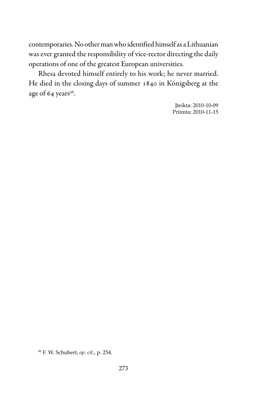contemporaries. No other man who identified himself as a Lithuanian was ever granted the responsibility of vice-rector directing the daily operations of one of the greatest European universities.

Rhesa devoted himself entirely to his work; he never married. He died in the closing days of summer 1840 in Königsberg at the age of  $64$  years<sup>96</sup>.

> Įteikta: 2010-10-09 Priimta: 2010-11-15

96 F. W. Schubert, *op. cit.*, p. 254.